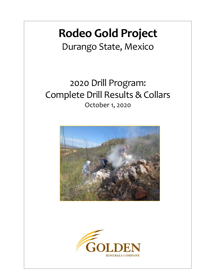## **Rodeo Gold Project**

Durango State, Mexico

## 2020 Drill Program: Complete Drill Results & Collars October 1, 2020



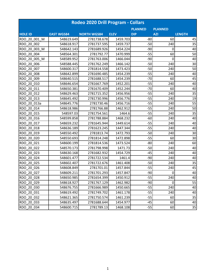|                | Rodeo 2020 Drill Program - Collars |                    |             |                |                |               |  |  |  |  |  |  |
|----------------|------------------------------------|--------------------|-------------|----------------|----------------|---------------|--|--|--|--|--|--|
|                |                                    |                    |             | <b>PLANNED</b> | <b>PLANNED</b> |               |  |  |  |  |  |  |
| <b>HOLE ID</b> | <b>EAST WGS84</b>                  | <b>NORTH WGS84</b> | <b>ELEV</b> | <b>DIP</b>     | <b>AZI</b>     | <b>LENGTH</b> |  |  |  |  |  |  |
| RDO 20 001 M   | 548619.649                         | 2781738.678        | 1459.703    | $-80$          | 60             | 45            |  |  |  |  |  |  |
| RDO 20 002     | 548618.917                         | 2781737.595        | 1459.737    | $-50$          | 240            | 35            |  |  |  |  |  |  |
| RDO 20 003 M   | 548642.143                         | 2781689.926        | 1454.224    | $-90$          | 0              | 40            |  |  |  |  |  |  |
| RDO 20 004     | 548564.301                         | 2781792.77         | 1470.999    | $-55$          | 60             | 50            |  |  |  |  |  |  |
| RDO 20 005 M   | 548589.952                         | 2781763.006        | 1466.044    | $-90$          | 0              | 40            |  |  |  |  |  |  |
| RDO 20 006     | 548588.445                         | 2781762.249        | 1466.142    | $-50$          | 240            | 30            |  |  |  |  |  |  |
| RDO 20 007     | 548600.317                         | 2781814.558        | 1473.423    | $-50$          | 240            | 50            |  |  |  |  |  |  |
| RDO 20 008     | 548642.899                         | 2781690.485        | 1454.239    | $-55$          | 240            | 40            |  |  |  |  |  |  |
| RDO 20 009     | 548640.515                         | 2781688.517        | 1454.239    | $-70$          | 60             | 45            |  |  |  |  |  |  |
| RDO 20 010     | 548646.654                         | 2781667.769        | 1452.201    | $-55$          | 240            | 40            |  |  |  |  |  |  |
| RDO 20 011     | 548650.381                         | 2781670.409        | 1452.244    | $-70$          | 60             | 40            |  |  |  |  |  |  |
| RDO 20 012     | 548629.463                         | 2781715.352        | 1456.956    | $-55$          | 240            | 35            |  |  |  |  |  |  |
| RDO 20 013     | 548645.492                         | 2781730.996        | 1456.776    | $-55$          | 240            | 19            |  |  |  |  |  |  |
| RDO 20 013a    | 548645.776                         | 2781730.46         | 1456.716    | $-55$          | 240            | 55            |  |  |  |  |  |  |
| RDO 20 014     | 548618.986                         | 2781766.88         | 1462.912    | $-55$          | 240            | 50            |  |  |  |  |  |  |
| RDO 20 015     | 548597.03                          | 2781754.561        | 1464.6      | $-55$          | 240            | 35            |  |  |  |  |  |  |
| RDO 20 016     | 548599.858                         | 2781788.884        | 1468.232    | $-60$          | 240            | 40            |  |  |  |  |  |  |
| RDO 20 017     | 548659.232                         | 2781645.944        | 1449.614    | $-55$          | 240            | 40            |  |  |  |  |  |  |
| RDO 20 018     | 548636.189                         | 2781623.245        | 1447.344    | $-55$          | 240            | 40            |  |  |  |  |  |  |
| RDO 20 019     | 548550.492                         | 2781813.74         | 1472.793    | $-50$          | 240            | 30            |  |  |  |  |  |  |
| RDO 20 020     | 548550.693                         | 2781814.248        | 1472.898    | $-55$          | 60             | 30            |  |  |  |  |  |  |
| RDO 20 021     | 548600.199                         | 2781814.536        | 1473.524    | $-80$          | 240            | 60            |  |  |  |  |  |  |
| RDO 20 022     | 548570.173                         | 2781798.998        | 1471.73     | $-50$          | 240            | 40            |  |  |  |  |  |  |
| RDO 20 023     | 548630.168                         | 2781682.932        | 1454.729    | $-45$          | 240            | 40            |  |  |  |  |  |  |
| RDO 20 024     | 548601.477                         | 2781722.534        | 1461.4      | $-90$          | 240            | 40            |  |  |  |  |  |  |
| RDO 20_025     | 548602.407                         | 2781722.676        | 1461.408    | $-50$          | 240            | 35            |  |  |  |  |  |  |
| RDO 20_026     | 548608.849                         | 2781701.01         | 1457.844    | $-55$          | 240            | 45            |  |  |  |  |  |  |
| RDO 20 027     | 548609.211                         | 2781701.293        | 1457.847    | $-90$          | $\pmb{0}$      | 40            |  |  |  |  |  |  |
| RDO_20_028     | 548650.985                         | 2781654.399        | 1450.912    | $-55$          | 240            | 40            |  |  |  |  |  |  |
| RDO_20_029     | 548618.927                         | 2781767.129        | 1462.982    | $-90$          | 0              | 55            |  |  |  |  |  |  |
| RDO_20_030     | 548676.755                         | 2781666.989        | 1450.665    | $-55$          | 240            | 40            |  |  |  |  |  |  |
| RDO 20 031     | 548619.492                         | 2781749.702        | 1461.178    | $-55$          | 240            | 40            |  |  |  |  |  |  |
| RDO_20_032     | 548621.365                         | 2781750.574        | 1461.239    | $-55$          | 60             | 35            |  |  |  |  |  |  |
| RDO_20_033     | 548635.497                         | 2781688.644        | 1454.977    | $-45$          | 60             | 40            |  |  |  |  |  |  |
| RDO 20 034     | 548600.715                         | 2781789.13         | 1468.108    | $-55$          | 60             | 35            |  |  |  |  |  |  |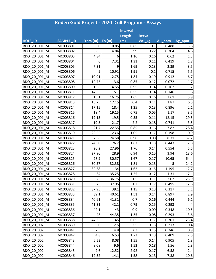|                        | Rodeo Gold Project - 2020 Drill Program - Assays |             |       |                 |              |        |        |  |  |  |
|------------------------|--------------------------------------------------|-------------|-------|-----------------|--------------|--------|--------|--|--|--|
|                        |                                                  |             |       | <b>Interval</b> |              |        |        |  |  |  |
|                        |                                                  |             |       | Length          | <b>Recvd</b> |        |        |  |  |  |
| <b>HOLE ID</b>         | <b>SAMPLE ID</b>                                 | From (m)    | To(m) | (m)             | Wt._kg       | Au_ppm | Ag_ppm |  |  |  |
| RDO 20 001 M           | MC003801                                         | 0           | 0.85  | 0.85            | 0.1          | 0.488  | 3.8    |  |  |  |
| RDO 20 001 M           | MC003802                                         | 0.85        | 4.84  | 3.99            | 0.22         | 0.304  | 4.6    |  |  |  |
| RDO 20 001 M           | MC003803                                         | 4.84        | 6     | 1.16            | 0.16         | 0.62   | 1.3    |  |  |  |
| RDO 20 001 M           | MC003804                                         | 6           | 7.31  | 1.31            | 0.11         | 0.419  | 1.8    |  |  |  |
| RDO 20 001 M           | MC003805                                         | 7.31        | 9     | 1.69            | 0.13         | 2.39   | 3.5    |  |  |  |
| RDO 20 001 M           | MC003806                                         | 9           | 10.91 | 1.91            | 0.1          | 0.715  | 5.5    |  |  |  |
| RDO 20 001 M           | MC003807                                         | 10.91       | 12.75 | 1.84            | 0.19         | 0.912  | 6.7    |  |  |  |
| RDO 20 001 M           | MC003808                                         | 12.75       | 13.6  | 0.85            | 0.12         | 0.072  | 1.7    |  |  |  |
| RDO 20 001 M           | MC003809                                         | 13.6        | 14.55 | 0.95            | 0.14         | 0.162  | 1.7    |  |  |  |
| RDO 20 001 M           | MC003811                                         | 14.55       | 15.1  | 0.55            | 0.14         | 0.146  | 1.6    |  |  |  |
| RDO 20 001 M           | MC003812                                         | 15.1        | 16.75 | 1.65            | 0.16         | 3.61   | 5.9    |  |  |  |
| RDO 20 001 M           | MC003813                                         | 16.75       | 17.15 | 0.4             | 0.11         | 1.87   | 6.5    |  |  |  |
| RDO 20 001 M           | MC003814                                         | 17.15       | 18.4  | 1.25            | 0.13         | 0.896  | 2.1    |  |  |  |
| RDO 20 001_M           | MC003815                                         | 18.4        | 19.15 | 0.75            | 0.05         | 1.17   | 3.5    |  |  |  |
| RDO 20 001 M           | MC003816                                         | 19.15       | 19.5  | 0.35            | 0.11         | 12.15  | 29.5   |  |  |  |
| RDO 20 001 M           | MC003817                                         | 19.5        | 21.7  | 2.2             | 0.18         | 0.741  | 3.5    |  |  |  |
| RDO 20 001 M           | MC003818                                         | 21.7        | 22.55 | 0.85            | 0.16         | 7.82   | 28.4   |  |  |  |
| 20 001 M<br><b>RDO</b> | MC003819                                         | 22.55       | 23.6  | 1.05            | 0.17         | 0.198  | 0.9    |  |  |  |
| RDO 20 001 M           | MC003821                                         | 23.6        | 24.58 | 0.98            | 0.08         | 8.71   | 37.2   |  |  |  |
| RDO 20 001 M           | MC003822                                         | 24.58       | 26.2  | 1.62            | 0.13         | 0.443  | 2.8    |  |  |  |
| RDO 20 001 M           | MC003823                                         | 26.2        | 27.96 | 1.76            | 0.14         | 0.554  | 5.5    |  |  |  |
| RDO 20 001 M           | MC003824                                         | 27.96       | 28.9  | 0.94            | 0.15         | 3.94   | 18.6   |  |  |  |
| RDO 20 001 M           | MC003825                                         | 28.9        | 30.57 | 1.67            | 0.17         | 10.65  | 64.4   |  |  |  |
| RDO 20 001 M           | MC003826                                         | 30.57       | 32.38 | 1.81            | 0.13         | 5      | 24.2   |  |  |  |
| RDO 20 001 M           | MC003827                                         | 32.38       | 34    | 1.62            | 0.15         | 1.195  | 12.7   |  |  |  |
| RDO 20 001 M           | MC003828                                         | 34          | 35.25 | 1.25            | 0.12         | 1.31   | 17.1   |  |  |  |
| RDO 20 001 M           | MC003829                                         | 35.25       | 36.75 | 1.5             | 0.11         | 2.07   | 25.9   |  |  |  |
| RDO 20 001 M           | MC003831                                         | 36.75       | 37.95 | 1.2             | 0.17         | 0.495  | 12.8   |  |  |  |
| RDO 20 001 M           | MC003832                                         | 37.95       | 39.1  | 1.15            | 0.13         | 0.317  | 3.1    |  |  |  |
| RDO 20 001 M           | MC003833                                         | 39.1        | 40.61 | 1.51            | 0.14         | 0.897  | 2.9    |  |  |  |
| RDO 20 001 M           | MC003834                                         | 40.61       | 41.31 | 0.7             | 0.16         | 0.444  | 6.1    |  |  |  |
| RDO 20 001 M           | MC003835                                         | 41.31       | 42.1  | 0.79            | 0.15         | 0.293  | 4      |  |  |  |
| RDO 20 001 M           | MC003836                                         | 42.1        | 43    | 0.9             | 0.09         | 0.348  | 10.5   |  |  |  |
| RDO 20 001 M           | MC003837                                         | 43          | 44.35 | 1.35            | 0.08         | 0.293  | 3.6    |  |  |  |
| RDO 20 001 M           | MC003838                                         | 44.35       | 45    | 0.65            | 0.17         | 0.701  | 23.4   |  |  |  |
| RDO 20 002             | MC003839                                         | $\mathbf 0$ | 2.5   | 2.5             | 0.13         | 0.213  | 0.4    |  |  |  |
| RDO 20 002             | MC003841                                         | 2.5         | 4.8   | 2.3             | 0.15         | 0.246  | 0.9    |  |  |  |
| RDO 20 002             | MC003842                                         | 4.8         | 6.53  | 1.73            | 0.13         | 0.409  | 2.5    |  |  |  |
| RDO 20 002             | MC003843                                         | 6.53        | 8.08  | 1.55            | 0.14         | 0.905  | 1.8    |  |  |  |
| RDO 20 002             | MC003844                                         | 8.08        | 9.6   | 1.52            | 0.18         | 1.56   | 2.8    |  |  |  |
| RDO 20 002             | MC003845                                         | 9.6         | 12.52 | 2.92            | 0.17         | 6.58   | 2.4    |  |  |  |
| RDO 20 002             | MC003846                                         | 12.52       | 14.1  | 1.58            | 0.13         | 7.38   | 10.6   |  |  |  |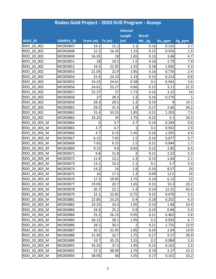|                | Rodeo Gold Project - 2020 Drill Program - Assays |          |       |                 |              |        |        |
|----------------|--------------------------------------------------|----------|-------|-----------------|--------------|--------|--------|
|                |                                                  |          |       | <b>Interval</b> |              |        |        |
|                |                                                  |          |       | Length          | <b>Recvd</b> |        |        |
| <b>HOLE_ID</b> | <b>SAMPLE ID</b>                                 | From (m) | To(m) | (m)             | Wt._kg       | Au_ppm | Ag_ppm |
| RDO 20 002     | MC003847                                         | 14.1     | 15.2  | 1.1             | 0.16         | 0.155  | 3.7    |
| RDO 20 002     | MC003848                                         | 15.2     | 16.35 | 1.15            | 0.15         | 0.356  | 1.9    |
| RDO 20 002     | MC003849                                         | 16.35    | 18    | 1.65            | 0.13         | 3.68   | 4.7    |
| RDO 20 002     | MC003851                                         | 18       | 19.5  | 1.5             | 0.16         | 2.79   | 7.9    |
| RDO 20 002     | MC003852                                         | 19.5     | 21.05 | 1.55            | 0.18         | 1.045  | 4.3    |
| RDO 20 002     | MC003853                                         | 21.05    | 22.9  | 1.85            | 0.16         | 0.776  | 2.4    |
| RDO 20 002     | MC003854                                         | 22.9     | 24.23 | 1.33            | 0.15         | 0.214  | 0.8    |
| RDO 20 002     | MC003855                                         | 24.23    | 24.61 | 0.38            | 0.2          | 0.942  | 3.6    |
| RDO 20 002     | MC003856                                         | 24.61    | 25.27 | 0.66            | 0.15         | 3.11   | 21.3   |
| RDO 20 002     | MC003857                                         | 25.27    | 27    | 1.73            | 0.16         | 3.22   | 14     |
| RDO 20 002     | MC003858                                         | 27       | 28.3  | 1.3             | 0.16         | 0.179  | 1      |
| RDO 20 002     | MC003859                                         | 28.3     | 29.5  | 1.2             | 0.19         | 4      | 14.1   |
| RDO 20 002     | MC003861                                         | 29.5     | 31.4  | 1.9             | 0.17         | 2.66   | 34.2   |
| RDO 20 002     | MC003862                                         | 31.4     | 33.25 | 1.85            | 0.21         | 1.205  | 7.5    |
| RDO 20 002     | MC003863                                         | 33.25    | 35    | 1.75            | 0.22         | 3.1    | 24.5   |
| RDO 20 003 M   | MC003864                                         | 0        | 3.7   | 3.7             | 0.14         | 0.269  | 0.6    |
| RDO 20 003 M   | MC003865                                         | 3.7      | 4.7   | $\mathbf{1}$    | 0.1          | 0.932  | 2.9    |
| RDO 20 003 M   | MC003866                                         | 4.7      | 6.15  | 1.45            | 0.16         | 1.505  | 4.4    |
| RDO 20 003 M   | MC003867                                         | 6.15     | 7.65  | 1.5             | 0.14         | 0.677  | 0.7    |
| RDO_20_003_M   | MC003868                                         | 7.65     | 9.15  | 1.5             | 0.21         | 0.944  | 1.7    |
| RDO 20 003 M   | MC003869                                         | 9.15     | 9.8   | 0.65            | 0.12         | 2.85   | 6.4    |
| RDO 20 003 M   | MC003871                                         | 9.8      | 11.8  | 2               | 0.11         | 2.22   | 5.3    |
| RDO 20 003 M   | MC003872                                         | 11.8     | 13.1  | 1.3             | 0.13         | 1.64   | 2.1    |
| RDO 20 003 M   | MC003873                                         | 13.1     | 14.2  | 1.1             | 0.1          | 3.7    | 5.4    |
| RDO 20 003 M   | MC003874                                         | 14.2     | 16    | 1.8             | 0.16         | 8.57   | 24     |
| RDO 20 003 M   | MC003875                                         | 16       | 17.3  | 1.3             | 0.09         | 12.5   | 14     |
| RDO 20 003 M   | MC003876                                         | 17.3     | 19.05 | 1.75            | 0.14         | 6.13   | 13     |
| RDO 20 003 M   | MC003877                                         | 19.05    | 20.7  | 1.65            | 0.21         | 10.2   | 20.2   |
| RDO 20 003 M   | MC003878                                         | 20.7     | 22.1  | 1.4             | 0.14         | 12.25  | 45.6   |
| RDO 20 003 M   | MC003879                                         | 22.1     | 22.85 | 0.75            | 0.25         | 0.476  | 5.5    |
| RDO 20 003 M   | MC003881                                         | 22.85    | 23.25 | 0.4             | 0.18         | 0.252  | 4.3    |
| RDO 20 003 M   | MC003882                                         | 23.25    | 24.3  | 1.05            | 0.13         | 1.68   | 10.4   |
| RDO 20 003 M   | MC003883                                         | 24.3     | 25.2  | 0.9             | 0.19         | 0.84   | 5.4    |
| RDO 20_003_M   | MC003884                                         | 25.2     | 26.15 | 0.95            | 0.21         | 0.462  | 3.6    |
| RDO 20 003 M   | MC003885                                         | 26.15    | 28.1  | 1.95            | 0.2          | 0.933  | 6.7    |
| RDO 20 003 M   | MC003886                                         | 28.1     | 30.1  | $\overline{2}$  | 0.21         | 1.725  | 13.9   |
| RDO 20 003 M   | MC003887                                         | 30.1     | 31.95 | 1.85            | 0.24         | 2.04   | 14.9   |
| RDO 20 003 M   | MC003888                                         | 31.95    | 33.7  | 1.75            | 0.17         | 9.57   | 39.9   |
| RDO 20 003 M   | MC003889                                         | 33.7     | 35.25 | 1.55            | 0.2          | 0.084  | 3.3    |
| RDO 20 003 M   | MC003891                                         | 35.25    | 37.2  | 1.95            | 0.15         | 0.162  | 2.5    |
| RDO 20 003 M   | MC003892                                         | 37.2     | 38.95 | 1.75            | 0.19         | 2.27   | 15.3   |
| RDO 20 003 M   | MC003893                                         | 38.95    | 40    | 1.05            | 0.17         | 0.101  | 10.2   |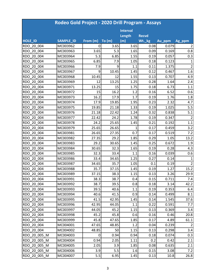|                | Rodeo Gold Project - 2020 Drill Program - Assays |             |       |                 |              |        |                |  |  |  |
|----------------|--------------------------------------------------|-------------|-------|-----------------|--------------|--------|----------------|--|--|--|
|                |                                                  |             |       | <b>Interval</b> |              |        |                |  |  |  |
|                |                                                  |             |       | Length          | <b>Recvd</b> |        |                |  |  |  |
| <b>HOLE ID</b> | <b>SAMPLE ID</b>                                 | From (m)    | To(m) | (m)             | Wt._kg       | Au_ppm | Ag_ppm         |  |  |  |
| RDO 20 004     | MC003962                                         | 0           | 3.65  | 3.65            | 0.08         | 0.079  | 2              |  |  |  |
| RDO 20 004     | MC003963                                         | 3.65        | 5.3   | 1.65            | 0.09         | 0.169  | 0.8            |  |  |  |
| RDO 20 004     | MC003964                                         | 5.3         | 6.85  | 1.55            | 0.19         | 0.057  | 0.3            |  |  |  |
| RDO 20 004     | MC003965                                         | 6.85        | 7.9   | 1.05            | 0.18         | 0.123  | 1              |  |  |  |
| RDO 20 004     | MC003966                                         | 7.9         | 9     | 1.1             | 0.11         | 1.375  | $\overline{2}$ |  |  |  |
| RDO 20 004     | MC003967                                         | 9           | 10.45 | 1.45            | 0.12         | 0.467  | 1.6            |  |  |  |
| RDO 20 004     | MC003968                                         | 10.45       | 12    | 1.55            | 0.13         | 0.707  | 4.9            |  |  |  |
| RDO 20 004     | MC003969                                         | 12          | 13.25 | 1.25            | 0.28         | 1.64   | 2.4            |  |  |  |
| RDO 20 004     | MC003971                                         | 13.25       | 15    | 1.75            | 0.18         | 6.73   | 1.1            |  |  |  |
| RDO 20 004     | MC003972                                         | 15          | 16.2  | 1.2             | 0.16         | 6.52   | 0.6            |  |  |  |
| RDO 20 004     | MC003973                                         | 16.2        | 17.9  | 1.7             | 0.19         | 1.76   | 1.8            |  |  |  |
| RDO 20 004     | MC003974                                         | 17.9        | 19.85 | 1.95            | 0.23         | 2.32   | 4.7            |  |  |  |
| RDO 20 004     | MC003975                                         | 19.85       | 21.18 | 1.33            | 0.19         | 1.025  | 5.5            |  |  |  |
| RDO 20 004     | MC003976                                         | 21.18       | 22.42 | 1.24            | 0.32         | 0.838  | 5.1            |  |  |  |
| RDO 20 004     | MC003977                                         | 22.42       | 24.2  | 1.78            | 0.19         | 0.347  | $\overline{2}$ |  |  |  |
| RDO 20 004     | MC003978                                         | 24.2        | 25.65 | 1.45            | 0.21         | 0.192  | 1.1            |  |  |  |
| RDO 20 004     | MC003979                                         | 25.65       | 26.65 | 1               | 0.17         | 0.459  | 3.2            |  |  |  |
| RDO 20 004     | MC003981                                         | 26.65       | 27.35 | 0.7             | 0.17         | 0.519  | 7.2            |  |  |  |
| RDO 20 004     | MC003982                                         | 27.35       | 29.2  | 1.85            | 0.29         | 1.05   | 13.2           |  |  |  |
| RDO 20 004     | MC003983                                         | 29.2        | 30.65 | 1.45            | 0.25         | 0.672  | 1.9            |  |  |  |
| RDO 20_004     | MC003984                                         | 30.65       | 32.3  | 1.65            | 0.19         | 0.28   | 4.3            |  |  |  |
| RDO 20 004     | MC003985                                         | 32.3        | 33.4  | 1.1             | 0.16         | 0.039  | 0.6            |  |  |  |
| RDO 20 004     | MC003986                                         | 33.4        | 34.65 | 1.25            | 0.27         | 0.14   | 1              |  |  |  |
| RDO 20 004     | MC003987                                         | 34.65       | 35.7  | 1.05            | 0.1          | 0.19   | $\overline{2}$ |  |  |  |
| RDO 20 004     | MC003988                                         | 35.7        | 37.15 | 1.45            | 0.19         | 1.27   | 15.2           |  |  |  |
| RDO 20 004     | MC003989                                         | 37.15       | 38.3  | 1.15            | 0.13         | 3.26   | 29.9           |  |  |  |
| RDO 20 004     | MC003991                                         | 38.3        | 38.7  | 0.4             | 0.15         | 0.711  | 7.4            |  |  |  |
| RDO 20 004     | MC003992                                         | 38.7        | 39.5  | 0.8             | 0.18         | 3.14   | 42.2           |  |  |  |
| RDO 20 004     | MC003993                                         | 39.5        | 40.6  | 1.1             | 0.19         | 0.353  | 6.4            |  |  |  |
| RDO 20 004     | MC003994                                         | 40.6        | 41.5  | 0.9             | 0.14         | 0.499  | 8.1            |  |  |  |
| RDO 20 004     | MC003995                                         | 41.5        | 42.95 | 1.45            | 0.14         | 1.545  | 37.6           |  |  |  |
| RDO 20 004     | MC003996                                         | 42.95       | 44.05 | 1.1             | 0.22         | 0.591  | 7.7            |  |  |  |
| RDO 20 004     | MC003997                                         | 44.05       | 45.2  | 1.15            | 0.13         | 0.369  | 3.4            |  |  |  |
| RDO 20 004     | MC003998                                         | 45.2        | 45.8  | 0.6             | 0.16         | 0.46   | 20.8           |  |  |  |
| RDO 20 004     | MC003999                                         | 45.8        | 47.65 | 1.85            | 0.17         | 4.89   | 61.1           |  |  |  |
| RDO 20 004     | MC004001                                         | 47.65       | 48.85 | 1.2             | 0.04         | 0.239  | $\overline{2}$ |  |  |  |
| RDO 20 004     | MC004002                                         | 48.85       | 50    | 1.15            | 0.13         | 0.298  | 3.4            |  |  |  |
| RDO 20 005 M   | MC004003                                         | $\mathbf 0$ | 0.94  | 0.94            | 0.18         | 0.074  | 0.3            |  |  |  |
| RDO 20 005 M   | MC004004                                         | 0.94        | 2.05  | 1.11            | 0.2          | 0.42   | 2.1            |  |  |  |
| RDO 20 005 M   | MC004005                                         | 2.05        | 3.9   | 1.85            | 0.08         | 0.635  | 2.1            |  |  |  |
| RDO 20 005 M   | MC004006                                         | 3.9         | 5.5   | 1.6             | 0.15         | 3.08   | 7.2            |  |  |  |
| RDO 20 005 M   | MC004007                                         | 5.5         | 6.95  | 1.45            | 0.13         | 10.8   | 26.8           |  |  |  |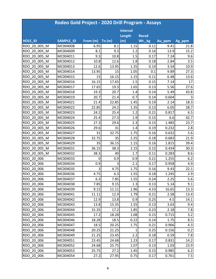|                | Rodeo Gold Project - 2020 Drill Program - Assays |          |       |                 |              |        |        |
|----------------|--------------------------------------------------|----------|-------|-----------------|--------------|--------|--------|
|                |                                                  |          |       | <b>Interval</b> |              |        |        |
|                |                                                  |          |       | Length          | <b>Recvd</b> |        |        |
| <b>HOLE ID</b> | <b>SAMPLE ID</b>                                 | From (m) | To(m) | (m)             | Wt._kg       | Au_ppm | Ag_ppm |
| RDO_20_005_M   | MC004008                                         | 6.95     | 8.1   | 1.15            | 0.11         | 9.41   | 21.8   |
| RDO 20 005 M   | MC004009                                         | 8.1      | 9.3   | 1.2             | 0.16         | 13.9   | 15.2   |
| RDO 20 005 M   | MC004011                                         | 9.3      | 10.8  | 1.5             | 0.17         | 7.24   | 9.6    |
| RDO 20 005 M   | MC004012                                         | 10.8     | 12.6  | 1.8             | 0.18         | 2.84   | 3.5    |
| RDO 20 005 M   | MC004013                                         | 12.6     | 13.95 | 1.35            | 0.14         | 3.54   | 10.9   |
| RDO 20 005 M   | MC004014                                         | 13.95    | 15    | 1.05            | 0.1          | 9.89   | 27.3   |
| RDO 20 005 M   | MC004015                                         | 15       | 16.15 | 1.15            | 0.11         | 6.48   | 13.6   |
| RDO 20 005 M   | MC004016                                         | 16.15    | 17.65 | 1.5             | 0.15         | 7.14   | 17     |
| RDO 20 005 M   | MC004017                                         | 17.65    | 19.3  | 1.65            | 0.13         | 5.56   | 27.6   |
| RDO 20 005 M   | MC004018                                         | 19.3     | 20.7  | 1.4             | 0.14         | 5.49   | 43.8   |
| RDO 20 005 M   | MC004019                                         | 20.7     | 21.4  | 0.7             | 0.14         | 0.604  | 3      |
| RDO 20 005 M   | MC004021                                         | 21.4     | 22.85 | 1.45            | 0.19         | 2.14   | 18.3   |
| RDO 20 005 M   | MC004022                                         | 22.85    | 24.2  | 1.35            | 0.13         | 6.05   | 28.7   |
| RDO 20 005 M   | MC004023                                         | 24.2     | 25.4  | 1.2             | 0.21         | 0.817  | 6.5    |
| RDO 20 005 M   | MC004024                                         | 25.4     | 27.3  | 1.9             | 0.15         | 6.6    | 42.7   |
| RDO 20 005 M   | MC004025                                         | 27.3     | 29.6  | 2.3             | 0.15         | 1.485  | 23.7   |
| RDO 20 005 M   | MC004026                                         | 29.6     | 31    | 1.4             | 0.19         | 0.232  | 2.8    |
| RDO 20 005 M   | MC004027                                         | 31       | 32.75 | 1.75            | 0.16         | 0.632  | 5.6    |
| RDO 20 005 M   | MC004028                                         | 32.75    | 35    | 2.25            | 0.18         | 0.683  | 21.9   |
| RDO 20 005 M   | MC004029                                         | 35       | 36.15 | 1.15            | 0.16         | 1.815  | 39.4   |
| RDO 20 005 M   | MC004031                                         | 36.15    | 38.3  | 2.15            | 0.15         | 0.434  | 30.3   |
| RDO 20 005 M   | MC004032                                         | 38.3     | 40    | 1.7             | 0.11         | 0.283  | 8.6    |
| RDO 20 006     | MC004033                                         | 0        | 0.9   | 0.9             | 0.21         | 1.255  | 6.2    |
| RDO 20 006     | MC004034                                         | 0.9      | 3     | 2.1             | 0.17         | 0.958  | 4.9    |
| RDO 20 006     | MC004035                                         | 3        | 4.75  | 1.75            | 0.16         | 9.43   | 22.1   |
| RDO 20 006     | MC004036                                         | 4.75     | 6.3   | 1.55            | 0.18         | 1.245  | 2.9    |
| RDO 20 006     | MC004037                                         | 6.3      | 7.85  | 1.55            | 0.24         | 2.25   | 5.6    |
| RDO 20 006     | MC004038                                         | 7.85     | 9.15  | 1.3             | 0.13         | 5.14   | 9.1    |
| RDO 20 006     | MC004039                                         | 9.15     | 11.11 | 1.96            | 4.53         | 16.65  | 13.3   |
| RDO 20 006     | MC004041                                         | 11.11    | 12.9  | 1.79            | 0.21         | 2.58   | 13.4   |
| RDO 20 006     | MC004042                                         | 12.9     | 13.8  | 0.9             | 0.25         | 4.5    | 14.1   |
| RDO 20 006     | MC004043                                         | 13.8     | 15.35 | 1.55            | 0.13         | 3.63   | 9.4    |
| RDO 20 006     | MC004044                                         | 15.35    | 17.2  | 1.85            | 0.23         | 2.18   | 7.8    |
| RDO 20 006     | MC004045                                         | 17.2     | 18.28 | 1.08            | 0.15         | 0.715  | 3.2    |
| RDO 20 006     | MC004046                                         | 18.28    | 18.5  | 0.22            | 0.14         | 1.75   | 8.5    |
| RDO 20 006     | MC004047                                         | 18.5     | 20.25 | 1.75            | 0.21         | 0.906  | 4.3    |
| RDO 20 006     | MC004048                                         | 20.25    | 21.25 | 1               | 0.25         | 0.156  | 0.2    |
| RDO 20 006     | MC004049                                         | 21.25    | 23.45 | 2.2             | 0.18         | 0.59   | 7.8    |
| RDO 20 006     | MC004051                                         | 23.45    | 24.68 | 1.23            | 0.17         | 0.831  | 14.2   |
| RDO 20 006     | MC004052                                         | 24.68    | 25.75 | 1.07            | 0.13         | 1.03   | 23.9   |
| RDO 20 006     | MC004053                                         | 25.75    | 27.2  | 1.45            | 0.15         | 0.985  | 6.2    |
| RDO 20 006     | MC004054                                         | 27.2     | 27.95 | 0.75            | 0.17         | 0.761  | 7.5    |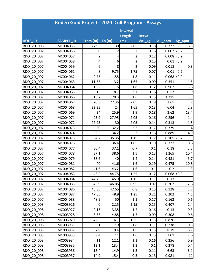|                | Rodeo Gold Project - 2020 Drill Program - Assays |                |       |                 |              |               |                |  |  |  |
|----------------|--------------------------------------------------|----------------|-------|-----------------|--------------|---------------|----------------|--|--|--|
|                |                                                  |                |       | <b>Interval</b> |              |               |                |  |  |  |
|                |                                                  |                |       | Length          | <b>Recvd</b> |               |                |  |  |  |
| <b>HOLE ID</b> | <b>SAMPLE ID</b>                                 | From (m)       | To(m) | (m)             | Wt._kg       | Au_ppm        | Ag_ppm         |  |  |  |
| RDO 20 006     | MC004055                                         | 27.95          | 30    | 2.05            | 0.18         | 0.322         | 6.3            |  |  |  |
| RDO 20 007     | MC004056                                         | 0              | 2     | 2               | 0.16         | $0.007$ < 0.2 |                |  |  |  |
| RDO 20 007     | MC004057                                         | $\overline{2}$ | 4     | $\overline{2}$  | 0.12         | $0.008$ < 0.2 |                |  |  |  |
| RDO 20 007     | MC004058                                         | 4              | 6     | $\overline{2}$  | 0.15         |               | $0.01$ < 0.2   |  |  |  |
| RDO 20 007     | MC004059                                         | 6              | 8     | $\overline{2}$  | 0.09         | 0.018         | 0.3            |  |  |  |
| RDO 20 007     | MC004061                                         | 8              | 9.75  | 1.75            | 0.07         |               | $0.01$ < 0.2   |  |  |  |
| RDO 20 007     | MC004062                                         | 9.75           | 11.55 | 1.8             | 0.11         | $0.068$ < 0.2 |                |  |  |  |
| RDO 20 007     | MC004063                                         | 11.55          | 13.2  | 1.65            | 0.09         | 0.351         | 1.5            |  |  |  |
| RDO 20 007     | MC004064                                         | 13.2           | 15    | 1.8             | 0.12         | 0.962         | 3.6            |  |  |  |
| RDO 20 007     | MC004065                                         | 15             | 18.7  | 3.7             | 0.16         | 0.57          | 1.9            |  |  |  |
| RDO 20 007     | MC004066                                         | 18.7           | 20.3  | 1.6             | 0.15         | 1.215         | 3.3            |  |  |  |
| RDO 20 007     | MC004067                                         | 20.3           | 22.35 | 2.05            | 0.18         | 2.65          | $\overline{7}$ |  |  |  |
| RDO 20 007     | MC004068                                         | 22.35          | 24    | 1.65            | 0.13         | 6.04          | 2.8            |  |  |  |
| RDO 20 007     | MC004069                                         | 24             | 25.9  | 1.9             | 0.18         | 3.62          | 13.4           |  |  |  |
| RDO 20 007     | MC004071                                         | 25.9           | 27.95 | 2.05            | 0.16         | 0.256         | 1.4            |  |  |  |
| RDO 20 007     | MC004072                                         | 27.95          | 30    | 2.05            | 0.14         | 0.313         | 1.5            |  |  |  |
| RDO 20 007     | MC004073                                         | 30             | 32.2  | 2.2             | 0.17         | 0.379         | 4              |  |  |  |
| RDO 20 007     | MC004074                                         | 32.2           | 34.2  | 2               | 0.16         | 0.889         | 4.9            |  |  |  |
| RDO 20 007     | MC004075                                         | 34.2           | 35.35 | 1.15            | 0.12         | $0.105$ < 0.2 |                |  |  |  |
| RDO 20 007     | MC004076                                         | 35.35          | 36.4  | 1.05            | 0.19         | 0.327         | 0.6            |  |  |  |
| RDO 20 007     | MC004077                                         | 36.4           | 37.1  | 0.7             | 0.1          | 0.18          | 3.3            |  |  |  |
| RDO 20 007     | MC004078                                         | 37.1           | 38.6  | 1.5             | 0.13         | 1.265         | 10.4           |  |  |  |
| RDO 20 007     | MC004079                                         | 38.6           | 40    | 1.4             | 0.14         | 0.481         | 5.7            |  |  |  |
| RDO 20 007     | MC004081                                         | 40             | 41.6  | 1.6             | 0.19         | 0.475         | 10.8           |  |  |  |
| RDO 20 007     | MC004082                                         | 41.6           | 43.2  | 1.6             | 0.1          | 0.2           | 1.3            |  |  |  |
| RDO 20 007     | MC004083                                         | 43.2           | 44.75 | 1.55            | 0.12         | $0.068$ < 0.2 |                |  |  |  |
| RDO 20 007     | MC004084                                         | 44.75          | 45.9  | 1.15            | 0.11         | 0.13          | $\mathbf{1}$   |  |  |  |
| RDO 20 007     | MC004085                                         | 45.9           | 46.85 | 0.95            | 0.07         | 0.207         | 2.6            |  |  |  |
| RDO 20 007     | MC004086                                         | 46.85          | 47.65 | 0.8             | 0.15         | 0.128         | 1.7            |  |  |  |
| RDO 20 007     | MC004087                                         | 47.65          | 48.9  | 1.25            | 0.21         | 0.202         | 4.1            |  |  |  |
| RDO 20 007     | MC004088                                         | 48.9           | 50    | 1.1             | 0.17         | 0.163         | 0.6            |  |  |  |
| RDO 20 008     | MC003926                                         | $\overline{0}$ | 2.15  | 2.15            | 0.15         | 0.407         | 1.4            |  |  |  |
| RDO 20 008     | MC003927                                         | 2.15           | 3.35  | 1.2             | 0.16         | 0.13          | 0.3            |  |  |  |
| RDO 20 008     | MC003928                                         | 3.35           | 4.85  | 1.5             | 0.09         | 0.308         | 0.6            |  |  |  |
| RDO 20 008     | MC003929                                         | 4.85           | 6.1   | 1.25            | 0.13         | 0.876         | 1.5            |  |  |  |
| RDO 20 008     | MC003931                                         | 6.1            | 7.9   | 1.8             | 0.11         | 0.238         | 0.5            |  |  |  |
| RDO 20 008     | MC003932                                         | 7.9            | 9.4   | 1.5             | 0.15         | 8.79          | 6.7            |  |  |  |
| RDO 20 008     | MC003933                                         | 9.4            | 11    | 1.6             | 0.15         | 3.01          | 7.6            |  |  |  |
| RDO 20 008     | MC003934                                         | 11             | 12.1  | 1.1             | 0.16         | 0.256         | 0.9            |  |  |  |
| RDO 20 008     | MC003935                                         | 12.1           | 13.4  | 1.3             | 0.1          | 0.278         | 0.4            |  |  |  |
| RDO 20 008     | MC003936                                         | 13.4           | 14.9  | 1.5             | 0.11         | 6.63          | 6.1            |  |  |  |
| RDO 20 008     | MC003937                                         | 14.9           | 15.4  | 0.5             | 0.13         | 0.981         | 11             |  |  |  |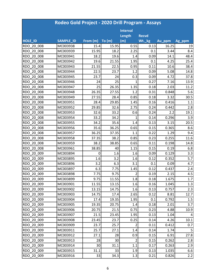|                | Rodeo Gold Project - 2020 Drill Program - Assays |          |       |                 |              |        |        |
|----------------|--------------------------------------------------|----------|-------|-----------------|--------------|--------|--------|
|                |                                                  |          |       | <b>Interval</b> |              |        |        |
|                |                                                  |          |       | Length          | <b>Recvd</b> |        |        |
| <b>HOLE ID</b> | SAMPLE_ID                                        | From (m) | To(m) | (m)             | Wt._kg       | Au_ppm | Ag_ppm |
| RDO 20 008     | MC003938                                         | 15.4     | 15.95 | 0.55            | 0.13         | 16.25  | 19     |
| RDO 20 008     | MC003939                                         | 15.95    | 18.2  | 2.25            | 0.1          | 3.44   | 8.4    |
| RDO 20 008     | MC003941                                         | 18.2     | 19.6  | 1.4             | 0.09         | 14.1   | 48.4   |
| RDO 20 008     | MC003942                                         | 19.6     | 21.55 | 1.95            | 0.1          | 4.25   | 25.4   |
| RDO 20 008     | MC003943                                         | 21.55    | 22.5  | 0.95            | 0.11         | 10.6   | 38.4   |
| RDO 20 008     | MC003944                                         | 22.5     | 23.7  | 1.2             | 0.09         | 5.08   | 14.8   |
| RDO 20 008     | MC003945                                         | 23.7     | 24    | 0.3             | 0.09         | 4.72   | 37.8   |
| RDO 20 008     | MC003946                                         | 24       | 25    | 1               | 0.27         | 7.16   | 13.9   |
| RDO 20 008     | MC003947                                         | 25       | 26.35 | 1.35            | 0.18         | 2.03   | 11.2   |
| RDO 20 008     | MC003948                                         | 26.35    | 27.55 | 1.2             | 0.31         | 0.848  | 5.6    |
| RDO 20 008     | MC003949                                         | 27.55    | 28.4  | 0.85            | 0.18         | 3.32   | 30.5   |
| RDO 20 008     | MC003951                                         | 28.4     | 29.85 | 1.45            | 0.16         | 0.416  | 1.1    |
| RDO 20 008     | MC003952                                         | 29.85    | 32.6  | 2.75            | 0.24         | 0.442  | 2.8    |
| RDO 20 008     | MC003953                                         | 32.6     | 33.2  | 0.6             | 0.24         | 2.2    | 19.1   |
| RDO 20 008     | MC003954                                         | 33.2     | 34.2  | 1               | 0.14         | 0.296  | 3.9    |
| RDO 20 008     | MC003955                                         | 34.2     | 35.6  | 1.4             | 0.13         | 3.15   | 20.5   |
| RDO 20 008     | MC003956                                         | 35.6     | 36.25 | 0.65            | 0.15         | 0.365  | 8.6    |
| RDO 20 008     | MC003957                                         | 36.25    | 37.35 | 1.1             | 0.22         | 1.29   | 9.4    |
| RDO 20 008     | MC003958                                         | 37.35    | 38.2  | 0.85            | 0.23         | 0.255  | 11.6   |
| RDO 20 008     | MC003959                                         | 38.2     | 38.85 | 0.65            | 0.11         | 0.198  | 14.8   |
| RDO 20 008     | MC003961                                         | 38.85    | 40    | 1.15            | 0.15         | 0.19   | 6.8    |
| RDO 20 009     | MC003894                                         | 0        | 1.6   | 1.6             | 0.09         | 0.129  | 3.3    |
| RDO 20 009     | MC003895                                         | 1.6      | 3.2   | 1.6             | 0.12         | 0.352  | 5.7    |
| RDO 20 009     | MC003896                                         | 3.2      | 6.3   | 3.1             | 0.1          | 0.09   | 4.7    |
| RDO 20 009     | MC003897                                         | 6.3      | 7.75  | 1.45            | 0.12         | 0.437  | 2.4    |
| RDO 20 009     | MC003898                                         | 7.75     | 9.75  | $\overline{2}$  | 0.19         | 2.15   | 4.5    |
| RDO 20 009     | MC003899                                         | 9.75     | 11.55 | 1.8             | 0.18         | 1.675  | 1.7    |
| RDO 20 009     | MC003901                                         | 11.55    | 13.15 | 1.6             | 0.16         | 1.045  | 1.3    |
| RDO 20 009     | MC003902                                         | 13.15    | 14.75 | 1.6             | 0.13         | 0.757  | 2.3    |
| RDO 20 009     | MC003903                                         | 14.75    | 17.4  | 2.65            | 0.12         | 8.81   | 12.7   |
| RDO 20 009     | MC003904                                         | 17.4     | 19.35 | 1.95            | 0.1          | 0.792  | 1.5    |
| RDO 20 009     | MC003905                                         | 19.35    | 20.75 | 1.4             | 0.18         | 2.01   | 3.7    |
| RDO 20 009     | MC003906                                         | 20.75    | 21.5  | 0.75            | 0.23         | 4.88   | 10.9   |
| RDO 20 009     | MC003907                                         | 21.5     | 23.45 | 1.95            | 0.13         | 1.04   | 4      |
| RDO 20 009     | MC003908                                         | 23.45    | 23.7  | 0.25            | 0.14         | 4.26   | 10.1   |
| RDO 20 009     | MC003909                                         | 23.7     | 25.7  | $\overline{2}$  | 0.11         | 0.412  | 0.7    |
| RDO 20 009     | MC003911                                         | 25.7     | 27.1  | 1.4             | 0.14         | 1.74   | 5      |
| RDO 20 009     | MC003912                                         | 27.1     | 28    | 0.9             | 0.15         | 6.91   | 27.8   |
| RDO 20 009     | MC003913                                         | 28       | 30    | $\overline{2}$  | 0.15         | 0.262  | 2.8    |
| RDO 20 009     | MC003914                                         | 30       | 31.1  | 1.1             | 0.17         | 0.263  | 2.9    |
| RDO 20 009     | MC003915                                         | 31.1     | 33    | 1.9             | 0.13         | 1.035  | 6.6    |
| RDO 20 009     | MC003916                                         | 33       | 34.3  | 1.3             | 0.21         | 0.826  | 2.2    |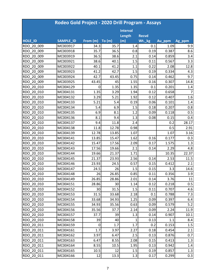| Rodeo Gold Project - 2020 Drill Program - Assays |           |          |        |                 |              |        |                |  |  |
|--------------------------------------------------|-----------|----------|--------|-----------------|--------------|--------|----------------|--|--|
|                                                  |           |          |        | <b>Interval</b> |              |        |                |  |  |
|                                                  |           |          |        | Length          | <b>Recvd</b> |        |                |  |  |
| <b>HOLE_ID</b>                                   | SAMPLE_ID | From (m) | To (m) | (m)             | Wt._kg       | Au_ppm | Ag_ppm         |  |  |
| RDO 20 009                                       | MC003917  | 34.3     | 35.7   | 1.4             | 0.1          | 1.09   | 9.9            |  |  |
| RDO 20 009                                       | MC003918  | 35.7     | 36.5   | 0.8             | 0.19         | 0.387  | 8.6            |  |  |
| RDO 20 009                                       | MC003919  | 36.5     | 38.6   | 2.1             | 0.14         | 0.859  | 3.4            |  |  |
| RDO 20 009                                       | MC003921  | 38.6     | 40.1   | 1.5             | 0.11         | 0.567  | 3.3            |  |  |
| RDO 20 009                                       | MC003922  | 40.1     | 41.2   | 1.1             | 0.22         | 2.08   | 12.8           |  |  |
| RDO 20 009                                       | MC003923  | 41.2     | 42.7   | 1.5             | 0.19         | 0.334  | 4.3            |  |  |
| RDO 20 009                                       | MC003924  | 42.7     | 43.45  | 0.75            | 0.14         | 0.462  | 9.7            |  |  |
| RDO 20 009                                       | MC003925  | 43.45    | 45     | 1.55            | 0.16         | 0.307  | 14.8           |  |  |
| RDO 20 010                                       | MC004129  | 0        | 1.35   | 1.35            | 0.1          | 0.201  | 1.4            |  |  |
| RDO 20 010                                       | MC004131  | 1.35     | 3.29   | 1.94            | 0.12         | 0.658  | $\overline{7}$ |  |  |
| RDO 20 010                                       | MC004132  | 3.29     | 5.21   | 1.92            | 0.12         | 0.407  | 1.6            |  |  |
| RDO 20 010                                       | MC004133  | 5.21     | 5.4    | 0.19            | 0.06         | 0.101  | 1.4            |  |  |
| RDO 20 010                                       | MC004134  | 5.4      | 6.9    | 1.5             | 0.18         | 0.207  | 0.8            |  |  |
| RDO 20_010                                       | MC004135  | 6.9      | 8.1    | 1.2             | 0.09         | 0.118  | 0.5            |  |  |
| RDO 20 010                                       | MC004136  | 8.1      | 9.4    | 1.3             | 0.08         | 0.15   | 0.4            |  |  |
| RDO 20 010                                       | MC004137  | 9.4      | 11.8   | 2.4             |              | 0.2    | 28.17          |  |  |
| RDO 20 010                                       | MC004138  | 11.8     | 12.78  | 0.98            |              | 0.5    | 2.91           |  |  |
| RDO 20 010                                       | MC004139  | 12.78    | 13.85  | 1.07            |              | 1.07   | 3.16           |  |  |
| RDO 20 010                                       | MC004141  | 13.85    | 15.47  | 1.62            | 0.16         | 0.177  | 0.3            |  |  |
| RDO 20 010                                       | MC004142  | 15.47    | 17.56  | 2.09            | 0.17         | 1.575  | 1.3            |  |  |
| RDO 20 010                                       | MC004143  | 17.56    | 19.66  | 2.1             | 0.14         | 2.29   | 4.8            |  |  |
| RDO 20 010                                       | MC004144  | 19.66    | 21.37  | 1.71            |              | 10.35  | 22.37          |  |  |
| RDO 20 010                                       | MC004145  | 21.37    | 23.93  | 2.56            | 0.14         | 2.53   | 11.5           |  |  |
| RDO 20 010                                       | MC004146  | 23.93    | 24.5   | 0.57            | 0.15         | 0.412  | 2.1            |  |  |
| RDO 20 010                                       | MC004147  | 24.5     | 26     | 1.5             | 0.15         | 3.3    | 14.6           |  |  |
| RDO 20 010                                       | MC004148  | 26       | 26.85  | 0.85            | 0.11         | 0.356  | 3.9            |  |  |
| RDO 20 010                                       | MC004149  | 26.85    | 28.86  | 2.01            | 0.14         | 3.76   | 11             |  |  |
| RDO 20 010                                       | MC004151  | 28.86    | 30     | 1.14            | 0.12         | 0.218  | 0.5            |  |  |
| RDO 20 010                                       | MC004152  | 30       | 31.5   | 1.5             | 0.11         | 0.707  | 4.6            |  |  |
| RDO 20 010                                       | MC004153  | 31.5     | 33.68  | 2.18            | 0.1          | 0.788  | 7.3            |  |  |
| RDO 20 010                                       | MC004154  | 33.68    | 34.93  | 1.25            | 0.09         | 0.397  | 6.4            |  |  |
| RDO 20 010                                       | MC004155  | 34.93    | 35.56  | 0.63            | 0.09         | 0.579  | 5.2            |  |  |
| RDO 20 010                                       | MC004156  | 35.56    | 37.7   | 2.14            | 0.09         | 2.24   | 11.9           |  |  |
| RDO 20 010                                       | MC004157  | 37.7     | 39     | 1.3             | 0.14         | 0.907  | 10.1           |  |  |
| RDO 20 010                                       | MC004158  | 39       | 40     | 1               | 0.13         | 1.1    | 8.4            |  |  |
| RDO 20 011                                       | MC004159  | 0        | 1.7    | 1.7             | 0.2          | 0.153  | 1.5            |  |  |
| RDO 20 011                                       | MC004161  | 1.7      | 3.97   | 2.27            | 0.18         | 0.454  | 2.1            |  |  |
| RDO 20 011                                       | MC004162  | 3.97     | 6.47   | 2.5             | 0.13         | 0.876  | 0.7            |  |  |
| RDO 20 011                                       | MC004163  | 6.47     | 8.55   | 2.08            | 0.15         | 0.413  | 1.3            |  |  |
| RDO 20_011                                       | MC004164  | 8.55     | 10.5   | 1.95            | 0.13         | 0.942  | 1.4            |  |  |
| RDO 20 011                                       | MC004165  | 10.5     | 12     | 1.5             | 0.19         | 0.857  | 1.3            |  |  |
| RDO 20 011                                       | MC004166  | 12       | 13.3   | 1.3             | 0.17         | 0.299  | 0.3            |  |  |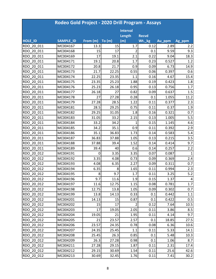|                | Rodeo Gold Project - 2020 Drill Program - Assays |          |       |                 |              |        |        |  |  |  |
|----------------|--------------------------------------------------|----------|-------|-----------------|--------------|--------|--------|--|--|--|
|                |                                                  |          |       | <b>Interval</b> |              |        |        |  |  |  |
|                |                                                  |          |       | Length          | <b>Recvd</b> |        |        |  |  |  |
| <b>HOLE ID</b> | <b>SAMPLE ID</b>                                 | From (m) | To(m) | (m)             | Wt._kg       | Au_ppm | Ag_ppm |  |  |  |
| RDO 20 011     | MC004167                                         | 13.3     | 15    | 1.7             | 0.12         | 2.89   | 2.2    |  |  |  |
| RDO 20 011     | MC004168                                         | 15       | 17    | 2               | 0.1          | 9.59   | 9.3    |  |  |  |
| RDO 20 011     | MC004169                                         | 17       | 19.1  | 2.1             | 0.22         | 9.04   | 18.3   |  |  |  |
| RDO 20 011     | MC004171                                         | 19.1     | 20.8  | 1.7             | 0.23         | 0.527  | 1.2    |  |  |  |
| RDO 20 011     | MC004172                                         | 20.8     | 21.7  | 0.9             | 0.09         | 6.73   | 14.9   |  |  |  |
| RDO 20 011     | MC004173                                         | 21.7     | 22.25 | 0.55            | 0.06         | 0.397  | 0.6    |  |  |  |
| RDO 20 011     | MC004174                                         | 22.25    | 23.35 | 1.1             | 0.16         | 4.67   | 15.4   |  |  |  |
| RDO 20 011     | MC004175                                         | 23.35    | 25.23 | 1.88            | 0.19         | 0.423  | 1.8    |  |  |  |
| RDO 20 011     | MC004176                                         | 25.23    | 26.18 | 0.95            | 0.13         | 0.756  | 1.7    |  |  |  |
| RDO 20 011     | MC004177                                         | 26.18    | 27    | 0.82            | 0.09         | 0.637  | 1.5    |  |  |  |
| RDO 20 011     | MC004178                                         | 27       | 27.28 | 0.28            | 0.1          | 1.055  | 11.2   |  |  |  |
| RDO 20 011     | MC004179                                         | 27.28    | 28.5  | 1.22            | 0.11         | 0.377  | 2.3    |  |  |  |
| RDO 20 011     | MC004181                                         | 28.5     | 29.25 | 0.75            | 0.11         | 0.37   | 1.9    |  |  |  |
| RDO 20 011     | MC004182                                         | 29.25    | 31.05 | 1.8             | 0.16         | 0.321  | 0.7    |  |  |  |
| RDO 20 011     | MC004183                                         | 31.05    | 33.2  | 2.15            | 0.13         | 1.005  | 5.5    |  |  |  |
| RDO 20 011     | MC004184                                         | 33.2     | 34.2  | 1               | 0.15         | 1.145  | 4.6    |  |  |  |
| RDO 20 011     | MC004185                                         | 34.2     | 35.1  | 0.9             | 0.11         | 0.392  | 2.9    |  |  |  |
| RDO 20 011     | MC004186                                         | 35.1     | 36.83 | 1.73            | 0.14         | 0.583  | 5.4    |  |  |  |
| RDO 20 011     | MC004187                                         | 36.83    | 37.88 | 1.05            | 0.13         | 0.215  | 3.5    |  |  |  |
| RDO 20 011     | MC004188                                         | 37.88    | 39.4  | 1.52            | 0.14         | 0.414  | 9.7    |  |  |  |
| RDO 20 011     | MC004189                                         | 39.4     | 40    | 0.6             | 0.14         | 0.257  | 2.2    |  |  |  |
| RDO 20 012     | MC004191                                         | 0        | 3.35  | 3.35            | 0.07         | 0.087  | 1      |  |  |  |
| RDO 20 012     | MC004192                                         | 3.35     | 4.08  | 0.73            | 0.09         | 0.369  | 2.4    |  |  |  |
| RDO 20 012     | MC004193                                         | 4.08     | 6.35  | 2.27            | 0.09         | 0.311  | 0.7    |  |  |  |
| RDO 20 012     | MC004194                                         | 6.35     | 8     | 1.65            | 0.11         | 0.994  | 2.3    |  |  |  |
| RDO 20 012     | MC004195                                         | 8        | 9.7   | 1.7             | 0.11         | 3.25   | 5.2    |  |  |  |
| RDO 20 012     | MC004196                                         | 9.7      | 11.6  | 1.9             | 0.15         | 1.37   | 4      |  |  |  |
| RDO 20 012     | MC004197                                         | 11.6     | 12.75 | 1.15            | 0.08         | 0.781  | 1.7    |  |  |  |
| RDO 20 012     | MC004198                                         | 12.75    | 13.8  | 1.05            | 0.09         | 0.302  | 0.7    |  |  |  |
| RDO 20 012     | MC004199                                         | 13.8     | 14.13 | 0.33            | 0.1          | 0.442  | 1.1    |  |  |  |
| RDO 20 012     | MC004201                                         | 14.13    | 15    | 0.87            | 0.1          | 0.422  | 0.5    |  |  |  |
| RDO 20 012     | MC004202                                         | 15       | 17    | $\overline{2}$  | 0.12         | 7.64   | 10.5   |  |  |  |
| RDO 20 012     | MC004203                                         | 17       | 19.05 | 2.05            | 0.11         | 3.86   | 8.5    |  |  |  |
| RDO 20 012     | MC004204                                         | 19.05    | 21    | 1.95            | 0.11         | 4.14   | 9.7    |  |  |  |
| RDO 20 012     | MC004205                                         | 21       | 23.57 | 2.57            | 0.1          | 18.85  | 27.5   |  |  |  |
| RDO 20 012     | MC004206                                         | 23.57    | 24.35 | 0.78            | 0.08         | 6.36   | 10.6   |  |  |  |
| RDO 20 012     | MC004207                                         | 24.35    | 25.45 | 1.1             | 0.11         | 5.33   | 14.1   |  |  |  |
| RDO 20 012     | MC004208                                         | 25.45    | 26.3  | 0.85            | 0.1          | 5.48   | 10.3   |  |  |  |
| RDO 20 012     | MC004209                                         | 26.3     | 27.28 | 0.98            | 0.1          | 1.06   | 8.7    |  |  |  |
| RDO 20 012     | MC004211                                         | 27.28    | 29.15 | 1.87            | 0.11         | 2.31   | 17.4   |  |  |  |
| RDO 20 012     | MC004212                                         | 29.15    | 30.69 | 1.54            | 0.11         | 25.6   | 42.6   |  |  |  |
| RDO 20 012     | MC004213                                         | 30.69    | 32.45 | 1.76            | 0.11         | 7.41   | 30.2   |  |  |  |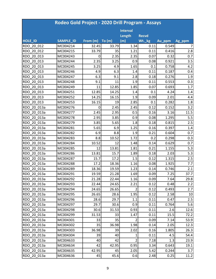|                | Rodeo Gold Project - 2020 Drill Program - Assays |          |        |                 |              |        |                |  |  |  |
|----------------|--------------------------------------------------|----------|--------|-----------------|--------------|--------|----------------|--|--|--|
|                |                                                  |          |        | <b>Interval</b> |              |        |                |  |  |  |
|                |                                                  |          |        | Length          | <b>Recvd</b> |        |                |  |  |  |
| <b>HOLE ID</b> | <b>SAMPLE_ID</b>                                 | From (m) | To (m) | (m)             | Wt._kg       | Au_ppm | Ag_ppm         |  |  |  |
| RDO 20 012     | MC004214                                         | 32.45    | 33.79  | 1.34            | 0.11         | 0.549  | $\overline{7}$ |  |  |  |
| RDO 20 012     | MC004215                                         | 33.79    | 35     | 1.21            | 0.11         | 0.416  | 2.8            |  |  |  |
| RDO 20 013     | MC004243                                         | 0        | 2.35   | 2.35            | 0.07         | 0.32   | 0.7            |  |  |  |
| RDO 20 013     | MC004244                                         | 2.35     | 3.25   | 0.9             | 0.08         | 0.921  | 3.5            |  |  |  |
| RDO 20 013     | MC004245                                         | 3.25     | 4.9    | 1.65            | 0.1          | 0.758  | 4.2            |  |  |  |
| RDO 20 013     | MC004246                                         | 4.9      | 6.3    | 1.4             | 0.11         | 0.187  | 0.4            |  |  |  |
| RDO 20 013     | MC004247                                         | 6.3      | 9.1    | 2.8             | 0.18         | 0.276  | 1.9            |  |  |  |
| RDO 20 013     | MC004248                                         | 9.1      | 11     | 1.9             | 0.11         | 0.553  | 0.3            |  |  |  |
| RDO 20 013     | MC004249                                         | 11       | 12.85  | 1.85            | 0.07         | 0.693  | 1.7            |  |  |  |
| RDO 20 013     | MC004251                                         | 12.85    | 14.25  | 1.4             | 0.1          | 4.24   | 1.4            |  |  |  |
| RDO 20 013     | MC004252                                         | 14.25    | 16.15  | 1.9             | 0.09         | 2.01   | 4.4            |  |  |  |
| RDO 20 013     | MC004253                                         | 16.15    | 19     | 2.85            | 0.1          | 0.282  | 1.8            |  |  |  |
| RDO 20 013a    | MC004276                                         | 0        | 2.45   | 2.45            | 0.12         | 0.152  | 3.2            |  |  |  |
| RDO 20 013a    | MC004277                                         | 2.45     | 2.95   | 0.5             | 0.16         | 3.16   | 11.5           |  |  |  |
| RDO 20 013a    | MC004278                                         | 2.95     | 3.85   | 0.9             | 0.08         | 1.295  | 5.5            |  |  |  |
| RDO 20 013a    | MC004279                                         | 3.85     | 5.65   | 1.8             | 0.18         | 0.815  | 2.5            |  |  |  |
| RDO 20 013a    | MC004281                                         | 5.65     | 6.9    | 1.25            | 0.16         | 0.397  | 1.4            |  |  |  |
| RDO 20 013a    | MC004282                                         | 6.9      | 8.8    | 1.9             | 0.21         | 0.604  | 0.7            |  |  |  |
| RDO 20 013a    | MC004283                                         | 8.8      | 10.52  | 1.72            | 0.2          | 0.298  | 0.3            |  |  |  |
| RDO 20 013a    | MC004284                                         | 10.52    | 12     | 1.48            | 0.14         | 0.629  | 0.7            |  |  |  |
| RDO 20 013a    | MC004285                                         | 12       | 13.81  | 1.81            | 0.21         | 1.155  | 5.3            |  |  |  |
| RDO 20_013a    | MC004286                                         | 13.81    | 15.7   | 1.89            | 0.18         | 2.03   | 5.3            |  |  |  |
| RDO 20 013a    | MC004287                                         | 15.7     | 17.2   | 1.5             | 0.12         | 1.315  | 2.5            |  |  |  |
| RDO 20 013a    | MC004288                                         | 17.2     | 18.36  | 1.16            | 0.08         | 1.925  | 7.7            |  |  |  |
| RDO 20 013a    | MC004289                                         | 18.36    | 19.59  | 1.23            | 0.14         | 0.746  | 2.1            |  |  |  |
| RDO 20 013a    | MC004291                                         | 19.59    | 21.28  | 1.69            | 0.09         | 7.25   | 37.7           |  |  |  |
| RDO 20 013a    | MC004292                                         | 21.28    | 22.44  | 1.16            | 0.09         | 7.64   | 29.8           |  |  |  |
| RDO 20 013a    | MC004293                                         | 22.44    | 24.65  | 2.21            | 0.12         | 0.48   | 2.2            |  |  |  |
| RDO 20 013a    | MC004294                                         | 24.65    | 26.65  | $\overline{2}$  | 0.12         | 0.493  | 2.7            |  |  |  |
| RDO 20 013a    | MC004295                                         | 26.65    | 28.6   | 1.95            | 0.12         | 2.58   | 10             |  |  |  |
| RDO 20 013a    | MC004296                                         | 28.6     | 29.7   | 1.1             | 0.11         | 0.47   | 2.5            |  |  |  |
| RDO 20 013a    | MC004297                                         | 29.7     | 30.6   | 0.9             | 0.11         | 0.764  | 5.6            |  |  |  |
| RDO 20 013a    | MC004298                                         | 30.6     | 31.53  | 0.93            | 0.11         | 2.6    | 12.6           |  |  |  |
| RDO 20 013a    | MC004299                                         | 31.53    | 33     | 1.47            | 0.11         | 15.5   | 72.2           |  |  |  |
| RDO 20 013a    | MC004301                                         | 33       | 35     | $\overline{2}$  | 0.09         | 7.14   | 53.9           |  |  |  |
| RDO 20 013a    | MC004302                                         | 35       | 36.98  | 1.98            | 0.14         | 2.05   | 12.3           |  |  |  |
| RDO 20 013a    | MC004303                                         | 36.98    | 39     | 2.02            | 0.16         | 1.805  | 26.3           |  |  |  |
| RDO 20 013a    | MC004304                                         | 39       | 40     | 1               | 0.11         | 4.5    | 54.4           |  |  |  |
| RDO 20 013a    | MC004633                                         | 40       | 42     | $\overline{2}$  | 7.18         | 1.3    | 23.9           |  |  |  |
| RDO 20 013a    | MC004634                                         | 42       | 42.95  | 0.95            | 3.34         | 0.643  | 19.1           |  |  |  |
| RDO 20 013a    | MC004635                                         | 42.95    | 45     | 2.05            | 5.42         | 0.244  | 3.7            |  |  |  |
| RDO_20_013a    | MC004636                                         | 45       | 45.6   | 0.6             | 2.48         | 0.25   | 11.2           |  |  |  |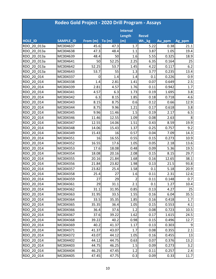|                | Rodeo Gold Project - 2020 Drill Program - Assays |          |       |                 |              |        |        |  |  |  |
|----------------|--------------------------------------------------|----------|-------|-----------------|--------------|--------|--------|--|--|--|
|                |                                                  |          |       | <b>Interval</b> |              |        |        |  |  |  |
|                |                                                  |          |       | Length          | <b>Recvd</b> |        |        |  |  |  |
| <b>HOLE ID</b> | <b>SAMPLE ID</b>                                 | From (m) | To(m) | (m)             | Wt._kg       | Au_ppm | Ag_ppm |  |  |  |
| RDO 20 013a    | MC004637                                         | 45.6     | 47.3  | 1.7             | 5.22         | 0.38   | 21.1   |  |  |  |
| RDO 20 013a    | MC004638                                         | 47.3     | 48.4  | 1.1             | 3.87         | 1.05   | 19.4   |  |  |  |
| RDO 20 013a    | MC004639                                         | 48.4     | 50    | 1.6             | 5.55         | 0.325  | 18.9   |  |  |  |
| RDO 20 013a    | MC004641                                         | 50       | 52.25 | 2.25            | 6.35         | 0.164  | 25     |  |  |  |
| RDO 20 013a    | MC004642                                         | 52.25    | 53.7  | 1.45            | 4.22         | 0.117  | 6.2    |  |  |  |
| RDO 20 013a    | MC004643                                         | 53.7     | 55    | 1.3             | 3.77         | 0.235  | 13.4   |  |  |  |
| RDO 20 014     | MC004337                                         | 0        | 1.4   | 1.4             | 0.1          | 0.226  | 0.9    |  |  |  |
| RDO 20 014     | MC004338                                         | 1.4      | 2.81  | 1.41            | 0.07         | 0.649  | 2.5    |  |  |  |
| RDO 20 014     | MC004339                                         | 2.81     | 4.57  | 1.76            | 0.11         | 0.942  | 1.7    |  |  |  |
| RDO 20 014     | MC004341                                         | 4.57     | 6.3   | 1.73            | 0.19         | 1.695  | 3.8    |  |  |  |
| RDO 20 014     | MC004342                                         | 6.3      | 8.15  | 1.85            | 0.18         | 0.718  | 4.6    |  |  |  |
| RDO 20 014     | MC004343                                         | 8.15     | 8.75  | 0.6             | 0.12         | 0.66   | 12.9   |  |  |  |
| RDO 20 014     | MC004344                                         | 8.75     | 9.96  | 1.21            | 0.17         | 0.618  | 3.8    |  |  |  |
| RDO 20 014     | MC004345                                         | 9.96     | 11.46 | 1.5             | 0.19         | 2.17   | 6.5    |  |  |  |
| RDO 20 014     | MC004346                                         | 11.46    | 12.55 | 1.09            | 0.08         | 2.63   | 8      |  |  |  |
| RDO 20 014     | MC004347                                         | 12.55    | 14.06 | 1.51            | 0.43         | 8.59   | 19.9   |  |  |  |
| RDO 20 014     | MC004348                                         | 14.06    | 15.43 | 1.37            | 0.25         | 0.757  | 9.2    |  |  |  |
| RDO 20 014     | MC004349                                         | 15.43    | 16    | 0.57            | 0.04         | 7.09   | 14.3   |  |  |  |
| RDO 20 014     | MC004351                                         | 16       | 16.55 | 0.55            | 0.15         | 0.273  | 10.9   |  |  |  |
| RDO 20 014     | MC004352                                         | 16.55    | 17.6  | 1.05            | 0.05         | 2.18   | 13.6   |  |  |  |
| RDO 20 014     | MC004353                                         | 17.6     | 18.08 | 0.48            | 0.09         | 5.36   | 19.5   |  |  |  |
| RDO 20 014     | MC004354                                         | 18.08    | 20.16 | 2.08            | 0.15         | 8.15   | 29.7   |  |  |  |
| RDO 20 014     | MC004355                                         | 20.16    | 21.84 | 1.68            | 0.16         | 12.65  | 38.1   |  |  |  |
| RDO 20 014     | MC004356                                         | 21.84    | 23.82 | 1.98            | 0.13         | 21.5   | 93.8   |  |  |  |
| RDO 20 014     | MC004357                                         | 23.82    | 25.4  | 1.58            | 0.1          | 5.18   | 20.9   |  |  |  |
| RDO 20 014     | MC004358                                         | 25.4     | 27    | 1.6             | 0.11         | 2.31   | 12.6   |  |  |  |
| RDO 20 014     | MC004359                                         | 27       | 29    | $\overline{2}$  | 0.11         | 0.148  | 0.7    |  |  |  |
| RDO 20 014     | MC004361                                         | 29       | 31.1  | 2.1             | 0.1          | 1.27   | 10.4   |  |  |  |
| RDO 20 014     | MC004362                                         | 31.1     | 31.95 | 0.85            | 0.13         | 4.27   | 25     |  |  |  |
| RDO 20 014     | MC004363                                         | 31.95    | 33.5  | 1.55            | 0.16         | 6.04   | 35.5   |  |  |  |
| RDO 20 014     | MC004364                                         | 33.5     | 35.35 | 1.85            | 0.16         | 0.418  | 1.7    |  |  |  |
| RDO 20 014     | MC004365                                         | 35.35    | 36.4  | 1.05            | 0.15         | 0.553  | 4.1    |  |  |  |
| RDO 20 014     | MC004366                                         | 36.4     | 37.6  | 1.2             | 0.08         | 0.723  | 10.5   |  |  |  |
| RDO 20 014     | MC004367                                         | 37.6     | 39.22 | 1.62            | 0.17         | 1.615  | 24.5   |  |  |  |
| RDO 20 014     | MC004368                                         | 39.22    | 40.2  | 0.98            | 0.15         | 0.496  | 12.7   |  |  |  |
| RDO 20 014     | MC004369                                         | 40.2     | 41.37 | 1.17            | 0.13         | 0.303  | 9      |  |  |  |
| RDO 20 014     | MC004371                                         | 41.37    | 43.07 | 1.7             | 0.08         | 0.355  | 2.1    |  |  |  |
| RDO 20 014     | MC004372                                         | 43.07    | 44.12 | 1.05            | 0.16         | 0.455  | 13     |  |  |  |
| RDO 20 014     | MC004402                                         | 44.12    | 44.75 | 0.63            | 0.07         | 0.376  | 13.2   |  |  |  |
| RDO 20 014     | MC004403                                         | 44.75    | 46.25 | 1.5             | 0.09         | 0.273  | 3.2    |  |  |  |
| RDO 20 014     | MC004404                                         | 46.25    | 47.45 | 1.2             | 0.11         | 0.257  | 2.4    |  |  |  |
| RDO 20 014     | MC004405                                         | 47.45    | 47.75 | 0.3             | 0.09         | 0.33   | 11.7   |  |  |  |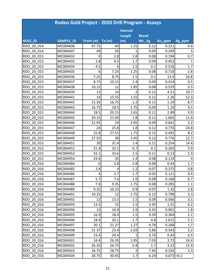|                | Rodeo Gold Project - 2020 Drill Program - Assays |             |        |                 |              |               |        |
|----------------|--------------------------------------------------|-------------|--------|-----------------|--------------|---------------|--------|
|                |                                                  |             |        | <b>Interval</b> |              |               |        |
|                |                                                  |             |        | Length          | <b>Recvd</b> |               |        |
| <b>HOLE ID</b> | <b>SAMPLE ID</b>                                 | From (m)    | To (m) | (m)             | Wt._kg       | Au_ppm        | Ag_ppm |
| RDO 20 014     | MC004406                                         | 47.75       | 49     | 1.25            | 0.12         | 0.221         | 4.6    |
| RDO 20 014     | MC004407                                         | 49          | 50     | 1               | 0.09         | 0.249         | 5      |
| RDO 20 015     | MC004432                                         | 0           | 2.8    | 2.8             | 0.08         | 0.194         | 0.7    |
| RDO 20 015     | MC004433                                         | 2.8         | 4.5    | 1.7             | 0.09         | 0.452         | 1      |
| RDO 20 015     | MC004434                                         | 4.5         | 6      | 1.5             | 0.1          | 0.516         | 1.7    |
| RDO 20 015     | MC004435                                         | 6           | 7.25   | 1.25            | 0.08         | 0.718         | 2.8    |
| RDO 20 015     | MC004436                                         | 7.25        | 8.75   | 1.5             | 0.1          | 13.4          | 16.8   |
| RDO 20 015     | MC004437                                         | 8.75        | 10.15  | 1.4             | 0.09         | 0.414         | 0.5    |
| RDO 20 015     | MC004438                                         | 10.15       | 12     | 1.85            | 0.08         | 0.529         | 0.5    |
| RDO 20 015     | MC004439                                         | 12          | 14     | $\overline{2}$  | 0.12         | 4.21          | 10.7   |
| RDO 20 015     | MC004441                                         | 14          | 15.55  | 1.55            | 0.12         | 2.26          | 12.3   |
| RDO 20 015     | MC004442                                         | 15.55       | 16.75  | 1.2             | 0.11         | 1.24          | 8.7    |
| RDO 20 015     | MC004443                                         | 16.75       | 18.5   | 1.75            | 0.09         | 1.19          | 4.1    |
| RDO 20 015     | MC004444                                         | 18.5        | 20.15  | 1.65            | 0.11         | 2.89          | 9.9    |
| RDO 20 015     | MC004445                                         | 20.15       | 21.95  | 1.8             | 0.11         | 1.665         | 11.6   |
| RDO 20 015     | MC004446                                         | 21.95       | 24     | 2.05            | 0.09         | 0.641         | 5.2    |
| RDO 20 015     | MC004447                                         | 24          | 25.8   | 1.8             | 0.12         | 0.776         | 24.8   |
| RDO 20 015     | MC004448                                         | 25.8        | 27.55  | 1.75            | 0.12         | 0.492         | 8.2    |
| RDO 20 015     | MC004449                                         | 27.55       | 30     | 2.45            | 0.12         | 0.776         | 12.7   |
| RDO 20 015     | MC004451                                         | 30          | 31.4   | 1.4             | 0.11         | 0.254         | 14.4   |
| RDO 20 015     | MC004452                                         | 31.4        | 32.1   | 0.7             | 0.1          | 0.265         | 5.9    |
| RDO 20 015     | MC004453                                         | 32.1        | 33.6   | 1.5             | 0.11         | 0.13          | 5.3    |
| RDO 20 015     | MC004454                                         | 33.6        | 35     | 1.4             | 0.08         | 0.114         | 4      |
| RDO 20 016     | MC004484                                         | $\mathbf 0$ | 2.8    | 2.8             | 0.08         | 0.43          | 1.7    |
| RDO 20 016     | MC004485                                         | 2.8         | 4      | 1.2             | 0.07         | 0.375         | 0.8    |
| RDO 20 016     | MC004486                                         | 4           | 5.7    | 1.7             | 0.05         | 0.121         | 0.4    |
| RDO 20 016     | MC004487                                         | 5.7         | 7.6    | 1.9             | 0.08         | 0.168         | 0.7    |
| RDO 20 016     | MC004488                                         | 7.6         | 9.35   | 1.75            | 0.08         | 0.285         | 1.1    |
| RDO 20 016     | MC004489                                         | 9.35        | 10.25  | 0.9             | 0.07         | 1.32          | 2.8    |
| RDO 20 016     | MC004491                                         | 10.25       | 12     | 1.75            | 0.12         | 0.798         | 3.3    |
| RDO 20 016     | MC004492                                         | 12          | 13.5   | 1.5             | 0.09         | 0.566         | 3.1    |
| RDO 20 016     | MC004493                                         | 13.5        | 15     | 1.5             | 3.95         | 1.21          | 6.2    |
| RDO 20 016     | MC004494                                         | 15          | 16.9   | 1.9             | 3.35         | 0.901         | 1.8    |
| RDO 20 016     | MC004495                                         | 16.9        | 18.4   | 1.5             | 4.39         | 0.364         | 2.1    |
| RDO 20 016     | MC004496                                         | 18.4        | 20.1   | 1.7             | 4.8          | 1.615         | 5.1    |
| RDO 20 016     | MC004497                                         | 20.1        | 21.37  | 1.27            | 4.78         | 0.268         | 1.7    |
| RDO 20 016     | MC004498                                         | 21.37       | 23.4   | 2.03            | 5.86         | 0.543         | 3.2    |
| RDO 20 016     | MC004499                                         | 23.4        | 24.4   | $1\vert$        | 3.76         | 0.43          | 6.5    |
| RDO 20 016     | MC004501                                         | 24.4        | 26.35  | 1.95            | 7.03         | 2.73          | 24.4   |
| RDO 20 016     | MC004502                                         | 26.35       | 26.75  | 0.4             | 1.7          | 3.22          | 15.9   |
| RDO 20 016     | MC004503                                         | 26.75       | 28.75  | $\overline{2}$  | 7.45         | 0.326         | 3.3    |
| RDO 20 016     | MC004504                                         | 28.75       | 30.45  | $1.7\,$         | 6.24         | $0.073$ < 0.2 |        |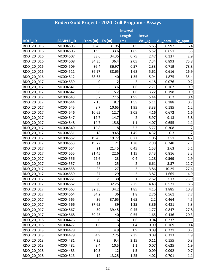|                | Rodeo Gold Project - 2020 Drill Program - Assays |                |                |                 |              |        |        |  |  |  |
|----------------|--------------------------------------------------|----------------|----------------|-----------------|--------------|--------|--------|--|--|--|
|                |                                                  |                |                | <b>Interval</b> |              |        |        |  |  |  |
|                |                                                  |                |                | Length          | <b>Recvd</b> |        |        |  |  |  |
| <b>HOLE ID</b> | <b>SAMPLE ID</b>                                 | From (m)       | To(m)          | (m)             | Wt._kg       | Au_ppm | Ag_ppm |  |  |  |
| RDO 20 016     | MC004505                                         | 30.45          | 31.95          | 1.5             | 5.65         | 0.992  | 24     |  |  |  |
| RDO 20 016     | MC004506                                         | 31.95          | 33.6           | 1.65            | 5.52         | 0.651  | 35     |  |  |  |
| RDO 20 016     | MC004507                                         | 33.6           | 34.35          | 0.75            | 2.47         | 0.137  | 2.9    |  |  |  |
| RDO 20 016     | MC004508                                         | 34.35          | 36.4           | 2.05            | 7.34         | 0.893  | 75.8   |  |  |  |
| RDO 20 016     | MC004509                                         | 36.4           | 36.97          | 0.57            | 2.33         | 0.719  | 78.8   |  |  |  |
| RDO 20 016     | MC004511                                         | 36.97          | 38.65          | 1.68            | 5.61         | 0.616  | 26.9   |  |  |  |
| RDO 20 016     | MC004512                                         | 38.65          | 40             | 1.35            | 5.94         | 1.875  | 35.4   |  |  |  |
| RDO 20 017     | MC004539                                         | 0              | $\overline{2}$ | 2               | 4.18         | 0.076  | 0.2    |  |  |  |
| RDO 20 017     | MC004541                                         | $\mathfrak{p}$ | 3.6            | 1.6             | 2.71         | 0.167  | 0.9    |  |  |  |
| RDO 20 017     | MC004542                                         | 3.6            | 5.2            | 1.6             | 3.22         | 0.198  | 0.9    |  |  |  |
| RDO 20 017     | MC004543                                         | 5.2            | 7.15           | 1.95            | 5.44         | 0.2    | 0.4    |  |  |  |
| RDO 20 017     | MC004544                                         | 7.15           | 8.7            | 1.55            | 5.11         | 0.188  | 0.7    |  |  |  |
| RDO 20 017     | MC004545                                         | 8.7            | 10.65          | 1.95            | 3.33         | 0.185  | 1.2    |  |  |  |
| RDO 20 017     | MC004546                                         | 10.65          | 12.7           | 2.05            | 4.16         | 0.672  | 1.6    |  |  |  |
| RDO 20 017     | MC004547                                         | 12.7           | 14.7           | 2               | 5.97         | 9.13   | 3.8    |  |  |  |
| RDO 20 017     | MC004548                                         | 14.7           | 15.8           | 1.1             | 4.07         | 0.655  | 1.1    |  |  |  |
| RDO 20 017     | MC004549                                         | 15.8           | 18             | 2.2             | 5.77         | 0.308  | 2      |  |  |  |
| RDO 20 017     | MC004551                                         | 18             | 19.45          | 1.45            | 4.32         | 0.3    | 1.2    |  |  |  |
| RDO 20 017     | MC004552                                         | 19.45          | 19.72          | 0.27            | 1.06         | 3.51   | 4.2    |  |  |  |
| RDO 20 017     | MC004553                                         | 19.72          | 21             | 1.28            | 2.98         | 0.248  | 2.1    |  |  |  |
| RDO 20 017     | MC004554                                         | 21             | 21.45          | 0.45            | 1.53         | 2.63   | 5.1    |  |  |  |
| RDO 20 017     | MC004555                                         | 21.45          | 22.6           | 1.15            | 3.43         | 0.816  | 3.3    |  |  |  |
| RDO 20 017     | MC004556                                         | 22.6           | 23             | 0.4             | 1.28         | 0.569  | 1.9    |  |  |  |
| RDO 20 017     | MC004557                                         | 23             | 25             | $\overline{2}$  | 6.61         | 3.37   | 12.7   |  |  |  |
| RDO 20 017     | MC004558                                         | 25             | 27             | $\overline{2}$  | 3.86         | 10.25  | 27.4   |  |  |  |
| RDO 20 017     | MC004559                                         | 27             | 29             | $\overline{2}$  | 3.87         | 1.665  | 4.9    |  |  |  |
| RDO 20 017     | MC004561                                         | 29             | 30             | $1\vert$        | 2.62         | 2.13   | 73.9   |  |  |  |
| RDO 20 017     | MC004562                                         | 30             | 32.25          | 2.25            | 4.43         | 0.521  | 8.6    |  |  |  |
| RDO 20 017     | MC004563                                         | 32.35          | 34.2           | 1.85            | 4.15         | 1.885  | 10.8   |  |  |  |
| RDO 20 017     | MC004564                                         | 34.2           | 36             | 1.8             | 2.76         | 0.561  | 7.7    |  |  |  |
| RDO 20 017     | MC004565                                         | 36             | 37.65          | 1.65            | 2.2          | 0.464  | 4.5    |  |  |  |
| RDO 20 017     | MC004566                                         | 37.65          | 39             | 1.35            | 3.86         | 0.481  | 5.3    |  |  |  |
| RDO 20 017     | MC004567                                         | 39             | 39.45          | 0.45            | 1.77         | 0.847  | 27.8   |  |  |  |
| RDO 20 017     | MC004568                                         | 39.45          | 40             | 0.55            | 1.65         | 0.436  | 20.3   |  |  |  |
| RDO 20 018     | MC004476                                         | 0              | 1.6            | 1.6             | 0.04         | 0.237  | 1      |  |  |  |
| RDO 20 018     | MC004477                                         | 1.6            | 3              | 1.4             | 0.09         | 0.169  | 0.4    |  |  |  |
| RDO 20 018     | MC004478                                         | 3              | 4.9            | 1.9             | 0.09         | 0.221  | 0.7    |  |  |  |
| RDO 20 018     | MC004479                                         | 4.9            | 7.25           | 2.35            | 0.08         | 0.313  | 1.9    |  |  |  |
| RDO 20 018     | MC004481                                         | 7.25           | 9.4            | 2.15            | 0.11         | 0.155  | 0.8    |  |  |  |
| RDO 20 018     | MC004482                                         | 9.4            | 10.5           | 1.1             | 0.07         | 0.625  | 1.9    |  |  |  |
| RDO 20 018     | MC004483                                         | 10.5           | 12             | 1.5             | 0.09         | 0.092  | 0.7    |  |  |  |
| RDO 20 018     | MC004513                                         | 12             | 13.25          | 1.25            | 4.02         | 0.701  | 1.1    |  |  |  |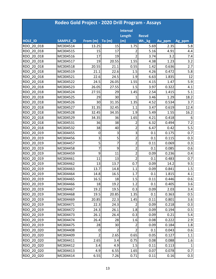|            | Rodeo Gold Project - 2020 Drill Program - Assays |                |                |                 |              |        |        |  |  |  |
|------------|--------------------------------------------------|----------------|----------------|-----------------|--------------|--------|--------|--|--|--|
|            |                                                  |                |                | <b>Interval</b> |              |        |        |  |  |  |
|            |                                                  |                |                | Length          | <b>Recvd</b> |        |        |  |  |  |
| HOLE_ID    | <b>SAMPLE ID</b>                                 | From (m)       | To (m)         | (m)             | Wt._kg       | Au_ppm | Ag_ppm |  |  |  |
| RDO 20 018 | MC004514                                         | 13.25          | 15             | 1.75            | 5.69         | 2.35   | 5.8    |  |  |  |
| RDO 20 018 | MC004515                                         | 15             | 17             | 2               | 5.16         | 4.91   | 4.4    |  |  |  |
| RDO 20 018 | MC004516                                         | 17             | 19             | $\overline{2}$  | 3.74         | 3.2    | 7.4    |  |  |  |
| RDO 20 018 | MC004517                                         | 19             | 20.55          | 1.55            | 4.38         | 1.23   | 3.2    |  |  |  |
| RDO 20 018 | MC004518                                         | 20.55          | 21.1           | 0.55            | 1.42         | 0.636  | 2.7    |  |  |  |
| RDO 20 018 | MC004519                                         | 21.1           | 22.6           | 1.5             | 4.26         | 0.472  | 5.8    |  |  |  |
| RDO 20 018 | MC004521                                         | 22.6           | 24.5           | 1.9             | 6.63         | 1.835  | 12     |  |  |  |
| RDO 20 018 | MC004522                                         | 24.5           | 26.05          | 1.55            | 4.15         | 1.47   | 5.9    |  |  |  |
| RDO 20 018 | MC004523                                         | 26.05          | 27.55          | 1.5             | 3.97         | 0.322  | 4.1    |  |  |  |
| RDO 20 018 | MC004524                                         | 27.55          | 29             | 1.45            | 2.54         | 1.415  | 5.1    |  |  |  |
| RDO 20 018 | MC004525                                         | 29             | 30             | 1               | 3.46         | 1.29   | 18.2   |  |  |  |
| RDO 20 018 | MC004526                                         | 30             | 31.35          | 1.35            | 4.52         | 0.534  | 3.7    |  |  |  |
| RDO 20 018 | MC004527                                         | 31.35          | 32.45          | 1.1             | 3.47         | 0.619  | 12.4   |  |  |  |
| RDO 20 018 | MC004528                                         | 32.45          | 34.35          | 1.9             | 5.49         | 1.55   | 16.2   |  |  |  |
| RDO 20 018 | MC004529                                         | 34.35          | 36             | 1.65            | 4.21         | 0.418  | 6      |  |  |  |
| RDO 20 018 | MC004531                                         | 36             | 38             | 2               | 6.32         | 0.494  | 7.2    |  |  |  |
| RDO 20 018 | MC004532                                         | 38             | 40             | $\overline{2}$  | 6.47         | 0.42   | 5.5    |  |  |  |
| RDO 20 019 | MC004455                                         | 0              | 3              | 3               | 0.1          | 0.175  | 0.7    |  |  |  |
| RDO 20 019 | MC004456                                         | 3              | 5              | $\overline{2}$  | 0.1          | 0.115  | 0.3    |  |  |  |
| RDO 20 019 | MC004457                                         | 5              | 7              | 2               | 0.11         | 0.069  | 0.3    |  |  |  |
| RDO 20_019 | MC004458                                         | 7              | 9              | $\overline{2}$  | 0.1          | 0.085  | 0.6    |  |  |  |
| RDO 20 019 | MC004459                                         | 9              | 11             | $\overline{2}$  | 0.09         | 0.236  | 0.4    |  |  |  |
| RDO 20 019 | MC004461                                         | 11             | 13             | $\overline{2}$  | 0.1          | 0.483  | 0.7    |  |  |  |
| RDO 20 019 | MC004462                                         | 13             | 13.7           | 0.7             | 0.09         | 14.2   | 9.5    |  |  |  |
| RDO 20 019 | MC004463                                         | 13.7           | 14.8           | 1.1             | 0.09         | 0.841  | 1.5    |  |  |  |
| RDO 20 019 | MC004464                                         | 14.8           | 16.5           | 1.7             | 0.1          | 1.815  | 4.1    |  |  |  |
| RDO 20 019 | MC004465                                         | 16.5           | 18             | 1.5             | 0.11         | 0.446  | 0.6    |  |  |  |
| RDO 20 019 | MC004466                                         | 18             | 19.2           | 1.2             | 0.1          | 0.405  | 3.6    |  |  |  |
| RDO 20 019 | MC004467                                         | 19.2           | 19.5           | 0.3             | 0.09         | 2.03   | 3.4    |  |  |  |
| RDO 20 019 | MC004468                                         | 19.5           | 20.85          | 1.35            | 0.1          | 0.363  | 0.5    |  |  |  |
| RDO 20 019 | MC004469                                         | 20.85          | 22.3           | 1.45            | 0.11         | 0.801  | 3.6    |  |  |  |
| RDO 20 019 | MC004471                                         | 22.3           | 24.3           | $\overline{2}$  | 0.09         | 0.218  | 0.3    |  |  |  |
| RDO 20 019 | MC004472                                         | 24.3           | 26.1           | 1.8             | 0.09         | 0.194  | 0.5    |  |  |  |
| RDO 20 019 | MC004473                                         | 26.1           | 26.4           | 0.3             | 0.09         | 0.21   | 5.4    |  |  |  |
| RDO 20 019 | MC004474                                         | 26.4           | 28             | 1.6             | 0.08         | 0.222  | 2.9    |  |  |  |
| RDO 20 019 | MC004475                                         | 28             | 30             | $\overline{2}$  | 0.09         | 0.184  | 1.8    |  |  |  |
| RDO 20 020 | MC004408                                         | 0              | $\overline{2}$ | $\overline{2}$  | 0.1          | 0.043  | 0.6    |  |  |  |
| RDO 20 020 | MC004409                                         | $\overline{2}$ | 2.65           | 0.65            | 0.05         | 0.127  | 1.1    |  |  |  |
| RDO 20 020 | MC004411                                         | 2.65           | 3.4            | 0.75            | 0.08         | 0.088  | 1.6    |  |  |  |
| RDO 20 020 | MC004412                                         | 3.4            | 4.9            | 1.5             | 0.11         | 0.113  | 1      |  |  |  |
| RDO 20 020 | MC004413                                         | 4.9            | 6.55           | 1.65            | 0.07         | 0.078  | 0.7    |  |  |  |
| RDO_20_020 | MC004414                                         | 6.55           | 7.26           | 0.71            | 0.11         | 0.16   | 0.3    |  |  |  |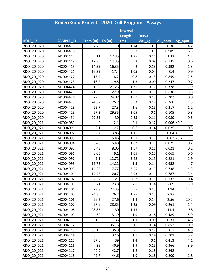|                | Rodeo Gold Project - 2020 Drill Program - Assays |          |       |                 |              |               |              |  |  |  |
|----------------|--------------------------------------------------|----------|-------|-----------------|--------------|---------------|--------------|--|--|--|
|                |                                                  |          |       | <b>Interval</b> |              |               |              |  |  |  |
|                |                                                  |          |       | Length          | <b>Recvd</b> |               |              |  |  |  |
| <b>HOLE ID</b> | <b>SAMPLE ID</b>                                 | From (m) | To(m) | (m)             | Wt._kg       | Au_ppm        | Ag_ppm       |  |  |  |
| RDO 20 020     | MC004415                                         | 7.26     | 9     | 1.74            | 0.1          | 0.36          | 4.2          |  |  |  |
| RDO 20 020     | MC004416                                         | 9        | 11    | $\mathcal{P}$   | 0.1          | 0.989         | 6.3          |  |  |  |
| RDO 20 020     | MC004417                                         | 11       | 12.35 | 1.35            | 0.11         | 1.32          | 4.1          |  |  |  |
| RDO 20 020     | MC004418                                         | 12.35    | 14.35 | 2               | 0.08         | 0.135         | 0.6          |  |  |  |
| RDO 20 020     | MC004419                                         | 14.35    | 16.35 | $\overline{2}$  | 0.13         | 0.392         | 1.3          |  |  |  |
| RDO 20 020     | MC004421                                         | 16.35    | 17.4  | 1.05            | 0.04         | 0.4           | 0.9          |  |  |  |
| RDO 20 020     | MC004422                                         | 17.4     | 18.2  | 0.8             | 0.13         | 0.859         | 2.5          |  |  |  |
| RDO 20 020     | MC004423                                         | 18.2     | 19.5  | 1.3             | 0.09         | 0.247         | 0.7          |  |  |  |
| RDO 20 020     | MC004424                                         | 19.5     | 21.25 | 1.75            | 0.17         | 0.378         | 1.9          |  |  |  |
| RDO 20 020     | MC004425                                         | 21.25    | 22.9  | 1.65            | 0.13         | 0.638         | 5.3          |  |  |  |
| RDO 20 020     | MC004426                                         | 22.9     | 24.87 | 1.97            | 0.15         | 0.203         | 0.8          |  |  |  |
| RDO 20 020     | MC004427                                         | 24.87    | 25.7  | 0.83            | 0.12         | 0.268         | 1.3          |  |  |  |
| RDO 20 020     | MC004428                                         | 25.7     | 27.3  | 1.6             | 0.15         | 0.217         | 1.2          |  |  |  |
| RDO 20 020     | MC004429                                         | 27.3     | 29.35 | 2.05            | 0.1          | 0.105         | 0.8          |  |  |  |
| RDO 20 020     | MC004431                                         | 29.35    | 30    | 0.65            | 0.11         | 0.089         | 0.6          |  |  |  |
| RDO 20 021     | MC004089                                         | 0        | 2.1   | 2.1             | 0.12         | $0.006$ < 0.2 |              |  |  |  |
| RDO 20 021     | MC004091                                         | 2.1      | 2.7   | 0.6             | 0.14         | 0.025         | 0.3          |  |  |  |
| RDO 20 021     | MC004092                                         | 2.7      | 3.85  | 1.15            |              | $0.04$ < 3    |              |  |  |  |
| RDO 20 021     | MC004093                                         | 3.85     | 5.46  | 1.61            | 0.13         |               | $0.02$ < 0.2 |  |  |  |
| RDO 20 021     | MC004094                                         | 5.46     | 6.48  | 1.02            | 0.11         | 0.025         | 0.2          |  |  |  |
| RDO 20 021     | MC004095                                         | 6.48     | 8.05  | 1.57            | 0.11         | 0.021         | 0.2          |  |  |  |
| RDO 20 021     | MC004096                                         | 8.05     | 9.1   | 1.05            | 0.15         | 0.065         | 0.6          |  |  |  |
| RDO 20 021     | MC004097                                         | 9.1      | 12.72 | 3.62            | 0.15         | 0.221         | 1.9          |  |  |  |
| RDO 20 021     | MC004098                                         | 12.72    | 14.22 | 1.5             | 0.14         | 0.652         | 4.7          |  |  |  |
| RDO 20 021     | MC004099                                         | 14.22    | 17.77 | 3.55            | 0.15         | 0.738         | 4.3          |  |  |  |
| RDO 20 021     | MC004101                                         | 17.77    | 20.7  | 2.93            | 0.11         | 0.787         | 3.4          |  |  |  |
| RDO 20 021     | MC004102                                         | 20.7     | 21    | 0.3             | 0.13         | 0.137         | 0.4          |  |  |  |
| RDO 20 021     | MC004103                                         | 21       | 23.8  | 2.8             | 0.14         | 2.09          | 13.9         |  |  |  |
| RDO 20 021     | MC004104                                         | 23.8     | 24.35 | 0.55            | 0.15         | 1.94          | 11.1         |  |  |  |
| RDO 20 021     | MC004105                                         | 24.35    | 26.2  | 1.85            | 0.13         | 2.87          | 23           |  |  |  |
| RDO 20 021     | MC004106                                         | 26.2     | 27.6  | 1.4             | 0.14         | 2.56          | 20.2         |  |  |  |
| RDO 20 021     | MC004107                                         | 27.6     | 28.85 | 1.25            | 0.09         | 0.261         | 1.4          |  |  |  |
| RDO 20 021     | MC004108                                         | 28.85    | 30    | 1.15            |              | 11.4          | 88           |  |  |  |
| RDO 20 021     | MC004109                                         | 30       | 31.9  | 1.9             | 0.18         | 0.489         | 5.9          |  |  |  |
| RDO 20 021     | MC004111                                         | 31.9     | 33    | 1.1             | 0.09         | 0.31          | 4.6          |  |  |  |
| RDO 20 021     | MC004112                                         | 33       | 35.15 | 2.15            | 0.14         | 0.852         | 10.9         |  |  |  |
| RDO 20 021     | MC004113                                         | 35.15    | 35.9  | 0.75            | 0.12         | 0.7           | 4.9          |  |  |  |
| RDO 20 021     | MC004114                                         | 35.9     | 37.6  | 1.7             | 0.14         | 0.701         | 5.7          |  |  |  |
| RDO 20 021     | MC004115                                         | 37.6     | 39    | 1.4             | 0.1          | 0.413         | 4.1          |  |  |  |
| RDO 20 021     | MC004116                                         | 39       | 40.9  | 1.9             | 0.15         | 0.366         | 3.9          |  |  |  |
| RDO 20 021     | MC004117                                         | 40.9     | 42.7  | 1.8             | 0.15         | 0.262         | 4            |  |  |  |
| RDO 20 021     | MC004118                                         | 42.7     | 44.6  | 1.9             | 0.18         | 0.209         | 1.8          |  |  |  |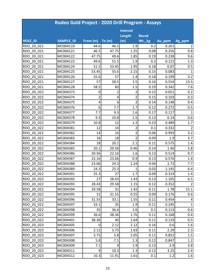|            | Rodeo Gold Project - 2020 Drill Program - Assays |          |       |                 |              |        |                |  |  |  |
|------------|--------------------------------------------------|----------|-------|-----------------|--------------|--------|----------------|--|--|--|
|            |                                                  |          |       | <b>Interval</b> |              |        |                |  |  |  |
|            |                                                  |          |       | Length          | <b>Recvd</b> |        |                |  |  |  |
| HOLE_ID    | <b>SAMPLE ID</b>                                 | From (m) | To(m) | (m)             | Wt._kg       | Au_ppm | Ag_ppm         |  |  |  |
| RDO 20 021 | MC004119                                         | 44.6     | 46.5  | 1.9             | 0.2          | 0.261  | 2              |  |  |  |
| RDO 20 021 | MC004121                                         | 46.5     | 47.75 | 1.25            | 0.08         | 0.256  | 0.8            |  |  |  |
| RDO 20 021 | MC004122                                         | 47.75    | 49.6  | 1.85            | 0.19         | 0.238  | 9.6            |  |  |  |
| RDO 20 021 | MC004123                                         | 49.6     | 51.5  | 1.9             | 0.2          | 0.122  | 1.3            |  |  |  |
| RDO 20 021 | MC004124                                         | 51.5     | 53.45 | 1.95            | 0.18         | 0.07   | 0.5            |  |  |  |
| RDO 20 021 | MC004125                                         | 53.45    | 55.6  | 2.15            | 0.15         | 0.083  | 1              |  |  |  |
| RDO 20 021 | MC004126                                         | 55.6     | 57    | 1.4             | 0.18         | 0.199  | 3.2            |  |  |  |
| RDO 20 021 | MC004127                                         | 57       | 58.5  | 1.5             | 0.16         | 0.554  | 13.5           |  |  |  |
| RDO 20 021 | MC004128                                         | 58.5     | 60    | 1.5             | 0.19         | 0.342  | 7.6            |  |  |  |
| RDO 20 022 | MC004373                                         | 0        | 2     | 2               | 0.12         | 0.051  | 0.2            |  |  |  |
| RDO 20 022 | MC004374                                         | 2        | 4     | $\overline{2}$  | 0.15         | 0.103  | 0.3            |  |  |  |
| RDO 20 022 | MC004375                                         | 4        | 6     | $\overline{2}$  | 0.14         | 0.148  | 0.4            |  |  |  |
| RDO 20 022 | MC004376                                         | 6        | 7.7   | 1.7             | 0.12         | 0.272  | 0.5            |  |  |  |
| RDO 20 022 | MC004377                                         | 7.7      | 9.3   | 1.6             | 0.17         | 0.117  | $\mathbf{1}$   |  |  |  |
| RDO 20 022 | MC004378                                         | 9.3      | 10.8  | 1.5             | 0.13         | 0.14   | 0.6            |  |  |  |
| RDO 20 022 | MC004379                                         | 10.8     | 12    | 1.2             | 0.23         | 0.489  | 1.7            |  |  |  |
| RDO 20 022 | MC004381                                         | 12       | 14    | 2               | 0.1          | 0.332  | $\overline{2}$ |  |  |  |
| RDO 20 022 | MC004382                                         | 14       | 16    | $\overline{2}$  | 0.06         | 0.993  | 3.2            |  |  |  |
| RDO 20 022 | MC004383                                         | 16       | 18    | $\overline{2}$  | 0.09         | 1.9    | 3.7            |  |  |  |
| RDO 20 022 | MC004384                                         | 18       | 20.1  | 2.1             | 0.11         | 0.575  | 1.4            |  |  |  |
| RDO 20 022 | MC004385                                         | 20.1     | 20.56 | 0.46            | 0.14         | 1.46   | 5.8            |  |  |  |
| RDO 20 022 | MC004386                                         | 20.56    | 22.16 | 1.6             | 0.13         | 0.514  | 0.7            |  |  |  |
| RDO 20 022 | MC004387                                         | 22.16    | 23.06 | 0.9             | 0.13         | 0.576  | 1.4            |  |  |  |
| RDO 20 022 | MC004388                                         | 23.06    | 24.3  | 1.24            | 0.04         | 2.72   | 7.7            |  |  |  |
| RDO 20 022 | MC004389                                         | 24.3     | 25.3  |                 | 0.03         | 1.145  | 6.4            |  |  |  |
| RDO 20 022 | MC004391                                         | 25.3     | 27    | 1.7             | 0.09         | 0.314  | 1.4            |  |  |  |
| RDO 20 022 | MC004392                                         | 27       | 28.43 | 1.43            | 0.13         | 1.105  | 6.5            |  |  |  |
| RDO 20 022 | MC004393                                         | 28.43    | 29.58 | 1.15            | 0.12         | 0.352  | $\overline{2}$ |  |  |  |
| RDO 20 022 | MC004394                                         | 29.58    | 31    | 1.42            | 0.11         | 1.78   | 15.1           |  |  |  |
| RDO 20 022 | MC004395                                         | 31       | 31.55 | 0.55            | 0.09         | 0.176  | 0.6            |  |  |  |
| RDO 20 022 | MC004396                                         | 31.55    | 33.1  | 1.55            | 0.11         | 0.454  | 4              |  |  |  |
| RDO 20 022 | MC004397                                         | 33.1     | 35    | 1.9             | 0.11         | 0.245  | $\mathbf{1}$   |  |  |  |
| RDO 20 022 | MC004398                                         | 35       | 36.6  | 1.6             | 0.1          | 0.113  | 0.6            |  |  |  |
| RDO 20 022 | MC004399                                         | 36.6     | 38.36 | 1.76            | 0.11         | 0.168  | 0.4            |  |  |  |
| RDO 20 022 | MC004401                                         | 38.36    | 40    | 1.64            | 0.11         | 0.119  | 0.5            |  |  |  |
| RDO 20 023 | MC004305                                         | 0        | 2.12  | 2.12            | 0.16         | 0.6    | 1.6            |  |  |  |
| RDO 20 023 | MC004306                                         | 2.12     | 3.75  | 1.63            | 0.11         | 2.29   | 2.3            |  |  |  |
| RDO 20 023 | MC004307                                         | 3.75     | 5.8   | 2.05            | 0.11         | 0.852  | 1.5            |  |  |  |
| RDO 20 023 | MC004308                                         | 5.8      | 7.1   | 1.3             | 0.12         | 0.847  | 1.2            |  |  |  |
| RDO 20 023 | MC004309                                         | 7.1      | 9     | 1.9             | 0.13         | 2.9    | 3.8            |  |  |  |
| RDO 20 023 | MC004311                                         | 9        | 10.3  | 1.3             | 0.12         | 3.25   | 2.4            |  |  |  |
| RDO 20 023 | MC004312                                         | 10.3     | 11.91 | 1.61            | 0.1          | 1.2    | 1.6            |  |  |  |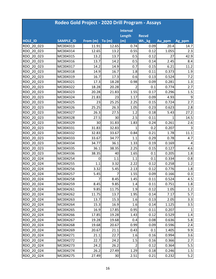|                | Rodeo Gold Project - 2020 Drill Program - Assays |                |       |                 |              |        |        |  |  |  |
|----------------|--------------------------------------------------|----------------|-------|-----------------|--------------|--------|--------|--|--|--|
|                |                                                  |                |       | <b>Interval</b> |              |        |        |  |  |  |
|                |                                                  |                |       | Length          | <b>Recvd</b> |        |        |  |  |  |
| <b>HOLE ID</b> | <b>SAMPLE ID</b>                                 | From (m)       | To(m) | (m)             | Wt._kg       | Au_ppm | Ag_ppm |  |  |  |
| RDO 20 023     | MC004313                                         | 11.91          | 12.65 | 0.74            | 0.09         | 20.4   | 14.7   |  |  |  |
| RDO 20 023     | MC004314                                         | 12.65          | 13.2  | 0.55            | 0.12         | 1.055  | 2.3    |  |  |  |
| RDO 20 023     | MC004315                                         | 13.2           | 13.7  | 0.5             | 0.12         | 27     | 42.9   |  |  |  |
| RDO 20 023     | MC004316                                         | 13.7           | 14.2  | 0.5             | 0.14         | 2.45   | 8.4    |  |  |  |
| RDO 20 023     | MC004317                                         | 14.2           | 14.9  | 0.7             | 0.15         | 6.21   | 11.2   |  |  |  |
| RDO 20 023     | MC004318                                         | 14.9           | 16.7  | 1.8             | 0.11         | 0.373  | 1.9    |  |  |  |
| RDO 20 023     | MC004319                                         | 16.7           | 17.3  | 0.6             | 0.13         | 0.524  | 7.2    |  |  |  |
| RDO 20 023     | MC004321                                         | 17.3           | 18.28 | 0.98            | 0.09         | 0.281  | 1.3    |  |  |  |
| RDO 20 023     | MC004322                                         | 18.28          | 20.28 | $\mathfrak{p}$  | 0.1          | 0.774  | 2.7    |  |  |  |
| RDO 20 023     | MC004323                                         | 20.28          | 21.83 | 1.55            | 0.17         | 0.296  | 1.5    |  |  |  |
| RDO 20 023     | MC004324                                         | 21.83          | 23    | 1.17            | 0.09         | 4.93   | 9      |  |  |  |
| RDO 20 023     | MC004325                                         | 23             | 25.25 | 2.25            | 0.15         | 0.724  | 2.7    |  |  |  |
| RDO 20 023     | MC004326                                         | 25.25          | 26.3  | 1.05            | 0.23         | 0.623  | 2.8    |  |  |  |
| RDO 20 023     | MC004327                                         | 26.3           | 27.5  | 1.2             | 0.18         | 5.43   | 27.2   |  |  |  |
| RDO 20 023     | MC004328                                         | 27.5           | 30    | 2.5             | 0.11         |        | 14.5   |  |  |  |
| RDO 20 023     | MC004329                                         | 30             | 31.83 | 1.83            | 0.24         | 0.261  | 2.6    |  |  |  |
| RDO 20 023     | MC004331                                         | 31.83          | 32.83 | 1               | 0.2          | 0.207  |        |  |  |  |
| RDO 20 023     | MC004332                                         | 32.83          | 33.67 | 0.84            | 0.21         | 1.78   | 11.1   |  |  |  |
| RDO 20 023     | MC004333                                         | 33.67          | 34.77 | 1.1             | 0.29         | 0.78   | 4.7    |  |  |  |
| RDO 20 023     | MC004334                                         | 34.77          | 36.1  | 1.33            | 0.19         | 0.169  | 4      |  |  |  |
| RDO_20_023     | MC004335                                         | 36.1           | 38.35 | 2.25            | 0.15         | 0.127  | 4.6    |  |  |  |
| RDO 20 023     | MC004336                                         | 38.35          | 40    | 1.65            | 0.1          | 0.205  | 1.8    |  |  |  |
| RDO 20 024     | MC004254                                         | 0              | 1.1   | 1.1             | 0.1          | 0.334  | 0.8    |  |  |  |
| RDO 20 024     | MC004255                                         | 1.1            | 3.32  | 2.22            | 0.12         | 0.258  | 1.2    |  |  |  |
| RDO 20 024     | MC004256                                         | 3.32           | 5.45  | 2.13            | 0.12         | 0.776  | 1.8    |  |  |  |
| RDO 20 024     | MC004257                                         | 5.45           | 7     | 1.55            | 0.09         | 0.166  | 0.3    |  |  |  |
| RDO 20 024     | MC004258                                         | $\overline{7}$ | 8.45  | 1.45            | 0.11         | 0.524  | 4.5    |  |  |  |
| RDO 20 024     | MC004259                                         | 8.45           | 9.85  | 1.4             | 0.11         | 0.751  | 1.8    |  |  |  |
| RDO 20 024     | MC004261                                         | 9.85           | 11.75 | 1.9             | 0.12         | 1.05   | 1.2    |  |  |  |
| RDO 20 024     | MC004262                                         | 11.75          | 13.7  | 1.95            | 0.14         | 7.17   | 5.7    |  |  |  |
| RDO 20 024     | MC004263                                         | 13.7           | 15.3  | 1.6             | 0.13         | 2.05   | 3.3    |  |  |  |
| RDO 20 024     | MC004264                                         | 15.3           | 16.9  | 1.6             | 0.14         | 1.125  | 3.5    |  |  |  |
| RDO 20 024     | MC004265                                         | 16.9           | 17.85 | 0.95            | 0.11         | 0.207  | 1      |  |  |  |
| RDO 20 024     | MC004266                                         | 17.85          | 19.28 | 1.43            | 0.12         | 0.529  | 1.4    |  |  |  |
| RDO 20 024     | MC004267                                         | 19.28          | 19.68 | 0.4             | 0.08         | 0.636  | 5.8    |  |  |  |
| RDO 20 024     | MC004268                                         | 19.68          | 20.67 | 0.99            | 0.09         | 0.596  | 2.4    |  |  |  |
| RDO 20 024     | MC004269                                         | 20.67          | 21.1  | 0.43            | 0.1          | 1.405  | 9.9    |  |  |  |
| RDO 20 024     | MC004271                                         | 21.1           | 22.7  | 1.6             | 0.16         | 0.994  | 3.6    |  |  |  |
| RDO 20 024     | MC004272                                         | 22.7           | 24.2  | 1.5             | 0.16         | 0.366  | 2.7    |  |  |  |
| RDO 20 024     | MC004273                                         | 24.2           | 26.2  | 2               | 0.12         | 0.364  | 5.5    |  |  |  |
| RDO 20 024     | MC004274                                         | 26.2           | 27.49 | 1.29            | 0.18         | 0.246  | 1.5    |  |  |  |
| RDO 20 024     | MC004275                                         | 27.49          | 30    | 2.51            | 0.21         | 0.232  | 5.2    |  |  |  |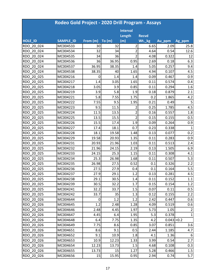|                | Rodeo Gold Project - 2020 Drill Program - Assays |          |        |                 |              |               |                |  |  |  |
|----------------|--------------------------------------------------|----------|--------|-----------------|--------------|---------------|----------------|--|--|--|
|                |                                                  |          |        | <b>Interval</b> |              |               |                |  |  |  |
|                |                                                  |          |        | Length          | <b>Recvd</b> |               |                |  |  |  |
| <b>HOLE ID</b> | SAMPLE_ID                                        | From (m) | To (m) | (m)             | Wt._kg       | Au_ppm        | Ag_ppm         |  |  |  |
| RDO 20 024     | MC004533                                         | 30       | 32     | 2               | 6.65         | 2.09          | 25.8           |  |  |  |
| RDO 20 024     | MC004534                                         | 32       | 34     | 2               | 4.64         | 0.54          | 12.6           |  |  |  |
| RDO 20 024     | MC004535                                         | 34       | 36     | $\overline{2}$  | 4.08         | 0.322         | 12             |  |  |  |
| RDO 20 024     | MC004536                                         | 36       | 36.95  | 0.95            | 2.69         | 0.18          | 6.3            |  |  |  |
| RDO 20 024     | MC004537                                         | 36.95    | 38.35  | 1.4             | 5.05         | 0.257         | 9.4            |  |  |  |
| RDO 20 024     | MC004538                                         | 38.35    | 40     | 1.65            | 4.94         | 0.107         | 4.5            |  |  |  |
| RDO 20 025     | MC004216                                         | 0        | 1.4    | 1.4             | 0.09         | 0.467         | 0.9            |  |  |  |
| RDO 20 025     | MC004217                                         | 1.4      | 3.05   | 1.65            | 0.11         | 0.574         | 0.4            |  |  |  |
| RDO 20 025     | MC004218                                         | 3.05     | 3.9    | 0.85            | 0.11         | 0.294         | 1.6            |  |  |  |
| RDO 20 025     | MC004219                                         | 3.9      | 5.8    | 1.9             | 0.18         | 0.879         | 2.1            |  |  |  |
| RDO 20 025     | MC004221                                         | 5.8      | 7.55   | 1.75            | 0.2          | 1.865         | 4.2            |  |  |  |
| RDO 20 025     | MC004222                                         | 7.55     | 9.5    | 1.95            | 0.21         | 0.49          | 5              |  |  |  |
| RDO 20 025     | MC004223                                         | 9.5      | 11.5   | 2               | 0.25         | 1.785         | 4.5            |  |  |  |
| RDO 20 025     | MC004224                                         | 11.5     | 13.5   | 2               | 0.16         | 0.557         | 1.8            |  |  |  |
| RDO 20 025     | MC004225                                         | 13.5     | 15.5   | $\overline{2}$  | 0.15         | 0.155         | 0.5            |  |  |  |
| RDO 20 025     | MC004226                                         | 15.5     | 17.4   | 1.9             | 0.09         | 0.264         | 0.9            |  |  |  |
| RDO 20 025     | MC004227                                         | 17.4     | 18.1   | 0.7             | 0.23         | 0.338         | $\mathbf{1}$   |  |  |  |
| RDO 20 025     | MC004228                                         | 18.1     | 19.58  | 1.48            | 0.13         | 0.077         | 0.2            |  |  |  |
| RDO 20 025     | MC004229                                         | 19.58    | 20.93  | 1.35            | 0.11         | 0.283         | 0.9            |  |  |  |
| RDO 20 025     | MC004231                                         | 20.93    | 21.96  | 1.03            | 0.11         | 0.513         | 2.4            |  |  |  |
| RDO 20 025     | MC004232                                         | 21.96    | 24.15  | 2.19            | 0.13         | 1.505         | 6.9            |  |  |  |
| RDO 20 025     | MC004233                                         | 24.15    | 25.3   | 1.15            | 0.11         | 0.308         | 4.1            |  |  |  |
| RDO 20 025     | MC004234                                         | 25.3     | 26.98  | 1.68            | 0.11         | 0.507         | 5.3            |  |  |  |
| RDO 20 025     | MC004235                                         | 26.98    | 27.5   | 0.52            | 0.1          | 0.326         | 2.2            |  |  |  |
| RDO 20 025     | MC004236                                         | 27.5     | 27.9   | 0.4             | 0.1          | 0.164         | 5.5            |  |  |  |
| RDO 20 025     | MC004237                                         | 27.9     | 29.1   | 1.2             | 0.13         | 0.281         | 4.5            |  |  |  |
| RDO 20 025     | MC004238                                         | 29.1     | 30.5   | 1.4             | 0.11         | 0.152         | 1.1            |  |  |  |
| RDO 20 025     | MC004239                                         | 30.5     | 32.2   | 1.7             | 0.15         | 0.154         | 1.2            |  |  |  |
| RDO 20 025     | MC004241                                         | 32.2     | 33.7   | 1.5             | 0.07         | 0.11          | 0.5            |  |  |  |
| RDO 20 025     | MC004242                                         | 33.7     | 35     | 1.3             | 0.12         | 0.155         | 2.2            |  |  |  |
| RDO 20 026     | MC004644                                         | 0        | 1.2    | 1.2             | 2.42         | 0.447         | 0.6            |  |  |  |
| RDO 20 026     | MC004645                                         | 1.2      | 2.48   | 1.28            | 4.09         | 0.519         | 0.6            |  |  |  |
| RDO 20 026     | MC004646                                         | 2.48     | 4.45   | 1.97            | 5.73         | 1.05          | $\overline{2}$ |  |  |  |
| RDO 20 026     | MC004647                                         | 4.45     | 6.4    | 1.95            | 5.3          | 0.378         | 1              |  |  |  |
| RDO 20 026     | MC004648                                         | 6.4      | 7.75   | 1.35            | 4.2          | $0.043$ < 0.2 |                |  |  |  |
| RDO 20 026     | MC004649                                         | 7.75     | 8.6    | 0.85            | 3.07         | 0.851         | 3.6            |  |  |  |
| RDO 20 026     | MC004651                                         | 8.6      | 9.1    | 0.5             | 2.44         | 1.185         | 4.7            |  |  |  |
| RDO 20 026     | MC004652                                         | 9.1      | 10.9   | 1.8             | 4.1          | 1.36          | 6              |  |  |  |
| RDO 20 026     | MC004653                                         | 10.9     | 12.23  | 1.33            | 3.99         | 0.54          | 2.7            |  |  |  |
| RDO 20 026     | MC004654                                         | 12.23    | 13.73  | 1.5             | 4.68         | 0.108         | 0.3            |  |  |  |
| RDO 20 026     | MC004655                                         | 13.73    | 15     | 1.27            | 5.28         | 0.466         | 1.5            |  |  |  |
| RDO 20 026     | MC004656                                         | 15       | 15.95  | 0.95            | 2.94         | 0.74          | 5.7            |  |  |  |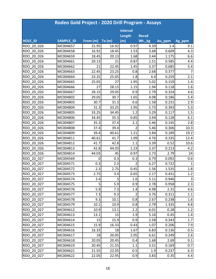|            | Rodeo Gold Project - 2020 Drill Program - Assays |          |                |                 |              |        |                |  |  |  |
|------------|--------------------------------------------------|----------|----------------|-----------------|--------------|--------|----------------|--|--|--|
|            |                                                  |          |                | <b>Interval</b> |              |        |                |  |  |  |
|            |                                                  |          |                | Length          | <b>Recvd</b> |        |                |  |  |  |
| HOLE_ID    | <b>SAMPLE ID</b>                                 | From (m) | To(m)          | (m)             | Wt._kg       | Au_ppm | Ag_ppm         |  |  |  |
| RDO 20 026 | MC004657                                         | 15.95    | 16.92          | 0.97            | 4.39         | 1.4    | 9.1            |  |  |  |
| RDO 20 026 | MC004658                                         | 16.92    | 18.45          | 1.53            | 3.68         | 0.609  | 4.3            |  |  |  |
| RDO 20 026 | MC004659                                         | 18.45    | 20.13          | 1.68            | 3.44         | 1.175  | 6.6            |  |  |  |
| RDO 20 026 | MC004661                                         | 20.13    | 21             | 0.87            | 1.51         | 0.585  | 4.4            |  |  |  |
| RDO 20 026 | MC004662                                         | 21       | 22.45          | 1.45            | 3.37         | 0.685  | 5.4            |  |  |  |
| RDO 20 026 | MC004663                                         | 22.45    | 23.25          | 0.8             | 2.68         | 0.377  | $\overline{7}$ |  |  |  |
| RDO 20 026 | MC004664                                         | 23.25    | 25.05          | 1.8             | 4.4          | 0.259  | 2.1            |  |  |  |
| RDO 20 026 | MC004665                                         | 25.05    | 27             | 1.95            | 5.02         | 0.159  | 1.4            |  |  |  |
| RDO 20 026 | MC004666                                         | 27       | 28.15          | 1.15            | 1.94         | 0.118  | 1.6            |  |  |  |
| RDO 20 026 | MC004667                                         | 28.15    | 29.05          | 0.9             | 2.79         | 0.324  | 4.6            |  |  |  |
| RDO 20 026 | MC004802                                         | 29.05    | 30.7           | 1.65            | 4.08         | 0.186  | 5.4            |  |  |  |
| RDO 20 026 | MC004803                                         | 30.7     | 31.3           | 0.6             | 1.58         | 0.231  | 2.9            |  |  |  |
| RDO 20 026 | MC004804                                         | 31.3     | 33.25          | 1.95            | 5.73         | 0.393  | 5.3            |  |  |  |
| RDO 20 026 | MC004805                                         | 33.25    | 34.45          | 1.2             | 3.29         | 0.117  | 1.5            |  |  |  |
| RDO 20 026 | MC004806                                         | 34.45    | 35.3           | 0.85            | 3.94         | 0.128  | 6.1            |  |  |  |
| RDO 20 026 | MC004807                                         | 35.3     | 37.4           | 2.1             | 5.46         | 0.145  | 2.8            |  |  |  |
| RDO 20 026 | MC004808                                         | 37.4     | 39.4           | $\overline{2}$  | 5.46         | 0.306  | 10.3           |  |  |  |
| RDO 20 026 | MC004809                                         | 39.4     | 40.61          | 1.21            | 3.84         | 0.189  | 19.2           |  |  |  |
| RDO 20 026 | MC004811                                         | 40.61    | 41.7           | 1.09            | 4.76         | 0.335  | 12.4           |  |  |  |
| RDO 20 026 | MC004812                                         | 41.7     | 42.8           | 1.1             | 3.39         | 0.52   | 10.6           |  |  |  |
| RDO 20 026 | MC004813                                         | 42.8     | 44.03          | 1.23            | 3.37         | 0.213  | 4.2            |  |  |  |
| RDO 20 026 | MC004814                                         | 44.03    | 45             | 0.97            | 2.73         | 2.79   | 24             |  |  |  |
| RDO 20 027 | MC004569                                         | 0        | 0.3            | 0.3             | 0.79         | 0.092  | 0.6            |  |  |  |
| RDO 20 027 | MC004571                                         | 0.3      | 2.3            | $\overline{2}$  | 6.27         | 0.722  | $\mathbf{1}$   |  |  |  |
| RDO 20 027 | MC004572                                         | 2.3      | 2.75           | 0.45            | 1.56         | 1.535  | 1.8            |  |  |  |
| RDO 20 027 | MC004573                                         | 2.75     | 3.4            | 0.65            | 2.17         | 0.431  | 1.2            |  |  |  |
| RDO 20 027 | MC004574                                         | 3.4      | 5 <sup>1</sup> | 1.6             | 5.11         | 0.946  | $\mathsf{3}$   |  |  |  |
| RDO 20 027 | MC004575                                         | 5        | 5.9            | 0.9             | 2.78         | 0.958  | 2.3            |  |  |  |
| RDO 20 027 | MC004576                                         | 5.9      | 7.3            | 1.4             | 4.98         | 2.31   | 4.6            |  |  |  |
| RDO 20 027 | MC004577                                         | 7.3      | 9.3            | 2               | 3.76         | 0.311  | 1.1            |  |  |  |
| RDO 20 027 | MC004578                                         | 9.3      | 10.1           | 0.8             | 2.67         | 0.238  | 1.6            |  |  |  |
| RDO 20 027 | MC004579                                         | 10.1     | 10.9           | 0.8             | 2.79         | 1.335  | 4.8            |  |  |  |
| RDO 20 027 | MC004612                                         | 10.9     | 13.1           | 2.2             | 6.01         | 0.28   | 1.2            |  |  |  |
| RDO 20 027 | MC004613                                         | 13.1     | 15             | 1.9             | $5.16$       | 0.45   | 1.4            |  |  |  |
| RDO 20 027 | MC004614                                         | 15       | 15.9           | 0.9             | 2.58         | 0.343  | 1.7            |  |  |  |
| RDO 20 027 | MC004615                                         | 15.9     | 16.33          | 0.43            | 1.07         | 0.206  | 7.9            |  |  |  |
| RDO 20 027 | MC004616                                         | 16.33    | 18             | 1.67            | 6.83         | 0.136  | 0.5            |  |  |  |
| RDO 20 027 | MC004617                                         | 18       | 20.05          | 2.05            | 6.61         | 0.249  | 2.6            |  |  |  |
| RDO_20_027 | MC004618                                         | 20.05    | 20.45          | 0.4             | 1.68         | 2.69   | 9.1            |  |  |  |
| RDO 20_027 | MC004619                                         | 20.45    | 21.55          | 1.1             | 3.51         | 0.169  | 0.7            |  |  |  |
| RDO 20 027 | MC004621                                         | 21.55    | 22.05          | 0.5             | 1.9          | 0.237  | 6.3            |  |  |  |
| RDO 20 027 | MC004622                                         | 22.05    | 22.95          | 0.9             | 3.83         | 0.35   | 4.4            |  |  |  |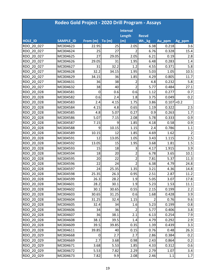|                | Rodeo Gold Project - 2020 Drill Program - Assays |          |        |                 |              |               |                |  |  |  |
|----------------|--------------------------------------------------|----------|--------|-----------------|--------------|---------------|----------------|--|--|--|
|                |                                                  |          |        | <b>Interval</b> |              |               |                |  |  |  |
|                |                                                  |          |        | Length          | <b>Recvd</b> |               |                |  |  |  |
| <b>HOLE ID</b> | <b>SAMPLE_ID</b>                                 | From (m) | To (m) | (m)             | Wt._kg       | Au_ppm        | Ag_ppm         |  |  |  |
| RDO 20 027     | MC004623                                         | 22.95    | 25     | 2.05            | 6.38         | 0.218         | 3.6            |  |  |  |
| RDO 20 027     | MC004624                                         | 25       | 27     |                 | 6.76         | 0.328         | 15.4           |  |  |  |
| RDO 20 027     | MC004625                                         | 27       | 29.05  | 2.05            | 6.21         | 0.19          | 2.8            |  |  |  |
| RDO 20 027     | MC004626                                         | 29.05    | 31     | 1.95            | 6.48         | 0.283         | 1.4            |  |  |  |
| RDO 20 027     | MC004627                                         | 31       | 32.2   | 1.2             | 4.55         | 0.371         | 5.8            |  |  |  |
| RDO 20 027     | MC004628                                         | 32.2     | 34.15  | 1.95            | 5.03         | 1.05          | 10.5           |  |  |  |
| RDO 20 027     | MC004629                                         | 34.15    | 36     | 1.85            | 4.29         | 0.805         | 11.7           |  |  |  |
| RDO 20 027     | MC004631                                         | 36       | 38     | 2               | 4.8          | 0.232         | 5.8            |  |  |  |
| RDO 20 027     | MC004632                                         | 38       | 40     | $\overline{2}$  | 5.77         | 0.484         | 27.1           |  |  |  |
| RDO 20 028     | MC004581                                         | 0        | 0.6    | 0.6             | 1.12         | 0.277         | 0.7            |  |  |  |
| RDO 20 028     | MC004582                                         | 0.6      | 2.4    | 1.8             | 3.75         | 0.049         | 0.2            |  |  |  |
| RDO 20 028     | MC004583                                         | 2.4      | 4.15   | 1.75            | 3.86         | $0.107$ < 0.2 |                |  |  |  |
| RDO 20 028     | MC004584                                         | 4.15     | 4.8    | 0.65            | 1.19         | 0.322         | 2.5            |  |  |  |
| RDO 20 028     | MC004585                                         | 4.8      | 5.07   | 0.27            | 0.9          | 0.263         | 1.7            |  |  |  |
| RDO 20 028     | MC004586                                         | 5.07     | 7.15   | 2.08            | 5.78         | 0.333         | 0.9            |  |  |  |
| RDO 20 028     | MC004587                                         | 7.15     | 9      | 1.85            | 4.18         | 0.58          | 0.9            |  |  |  |
| RDO 20 028     | MC004588                                         | 9        | 10.15  | 1.15            | 2.4          | 0.786         | 1.1            |  |  |  |
| RDO 20 028     | MC004589                                         | 10.15    | 12     | 1.85            | 4.69         | 1.62          | $\overline{2}$ |  |  |  |
| RDO 20 028     | MC004591                                         | 12       | 13.05  | 1.05            | 3.43         | 1.115         | 2.5            |  |  |  |
| RDO 20 028     | MC004592                                         | 13.05    | 15     | 1.95            | 3.68         | 1.81          | 1.5            |  |  |  |
| RDO 20 028     | MC004593                                         | 15       | 18     | 3               | 4.17         | 1.915         | 3.9            |  |  |  |
| RDO 20 028     | MC004594                                         | 18       | 20     | $\overline{2}$  | 6.78         | 3.65          | 10.1           |  |  |  |
| RDO 20 028     | MC004595                                         | 20       | 22     | $\overline{2}$  | 7.81         | 5.37          | 11.3           |  |  |  |
| RDO 20 028     | MC004596                                         | 22       | 24     | $\overline{2}$  | 6.38         | 4.79          | 24.8           |  |  |  |
| RDO 20 028     | MC004597                                         | 24       | 25.35  | 1.35            | 3.21         | 4.36          | 14.8           |  |  |  |
| RDO 20 028     | MC004598                                         | 25.35    | 26.3   | 0.95            | 2.51         | 2.87          | 11.2           |  |  |  |
| RDO 20 028     | MC004599                                         | 26.3     | 28.2   | 1.9             | 5.05         | 3.07          | 17.8           |  |  |  |
| RDO 20 028     | MC004601                                         | 28.2     | 30.1   | 1.9             | 5.23         | 1.53          | 11.1           |  |  |  |
| RDO 20 028     | MC004602                                         | 30.1     | 30.65  | 0.55            | 2.15         | 0.199         | 2.2            |  |  |  |
| RDO 20 028     | MC004603                                         | 30.65    | 31.25  | 0.6             | 1.68         | 0.428         | 3.9            |  |  |  |
| RDO 20 028     | MC004604                                         | 31.25    | 32.4   | 1.15            | 2            | 0.76          | 9.6            |  |  |  |
| RDO 20 028     | MC004605                                         | 32.4     | 34     | 1.6             | 5.23         | 0.199         | 0.8            |  |  |  |
| RDO 20 028     | MC004606                                         | 34       | 36     | 2               | 5.77         | 0.406         | 3.8            |  |  |  |
| RDO 20 028     | MC004607                                         | 36       | 38.1   | 2.1             | 6.13         | 0.254         | 7.9            |  |  |  |
| RDO 20 028     | MC004608                                         | 38.1     | 39.5   | 1.4             | 4.79         | 0.292         | 2.9            |  |  |  |
| RDO 20 028     | MC004609                                         | 39.5     | 39.85  | 0.35            | 1.39         | 0.439         | 3.3            |  |  |  |
| RDO 20 028     | MC004611                                         | 39.85    | 40     | 0.15            | 0.76         | 0.48          | 26.3           |  |  |  |
| RDO 20 029     | MC004668                                         | 0        | 2.7    | 2.7             | 2.86         | 0.384         | 0.2            |  |  |  |
| RDO 20 029     | MC004669                                         | 2.7      | 3.68   | 0.98            | 2.43         | 0.864         | 0.2            |  |  |  |
| RDO 20 029     | MC004671                                         | 3.68     | 5.53   | 1.85            | 4.33         | 0.312         | 0.6            |  |  |  |
| RDO 20 029     | MC004672                                         | 5.53     | 7.82   | 2.29            | 2.79         | 1.07          | 3.4            |  |  |  |
| RDO_20_029     | MC004673                                         | 7.82     | 9.9    | 2.08            | 2.46         | $1.1\,$       | 1.7            |  |  |  |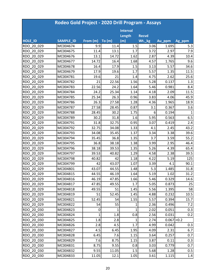| Rodeo Gold Project - 2020 Drill Program - Assays |           |              |       |                 |              |               |              |  |  |
|--------------------------------------------------|-----------|--------------|-------|-----------------|--------------|---------------|--------------|--|--|
|                                                  |           |              |       | <b>Interval</b> |              |               |              |  |  |
|                                                  |           |              |       | Length          | <b>Recvd</b> |               |              |  |  |
| HOLE_ID                                          | SAMPLE_ID | From (m)     | To(m) | (m)             | Wt._kg       | Au_ppm        | Ag_ppm       |  |  |
| RDO 20 029                                       | MC004674  | 9.9          | 11.4  | 1.5             | 3.06         | 1.695         | 5.3          |  |  |
| RDO 20 029                                       | MC004675  | 11.4         | 13.1  | 1.7             | 3.72         | 2.97          | 7.9          |  |  |
| RDO 20 029                                       | MC004676  | 13.1         | 14.72 | 1.62            | 2.87         | 4.39          | 10.4         |  |  |
| RDO 20 029                                       | MC004677  | 14.72        | 16.4  | 1.68            | 4.57         | 1.765         | 9.6          |  |  |
| RDO 20 029                                       | MC004678  | 16.4         | 17.9  | 1.5             | 3.13         | 5.57          | 34.6         |  |  |
| RDO 20 029                                       | MC004679  | 17.9         | 19.6  | 1.7             | 5.57         | 1.35          | 11.5         |  |  |
| RDO 20 029                                       | MC004781  | 19.6         | 21    | 1.4             | 4.75         | 2.62          | 25.6         |  |  |
| RDO 20 029                                       | MC004782  | 21           | 22.56 | 1.56            | 5.28         | 0.137         | 1.3          |  |  |
| RDO 20 029                                       | MC004783  | 22.56        | 24.2  | 1.64            | 5.46         | 0.981         | 8.4          |  |  |
| RDO 20 029                                       | MC004784  | 24.2         | 25.34 | 1.14            | 4.18         | 2.09          | 11.5         |  |  |
| RDO 20 029                                       | MC004785  | 25.34        | 26.3  | 0.96            | 3.83         | 4.06          | 45.9         |  |  |
| RDO 20 029                                       | MC004786  | 26.3         | 27.58 | 1.28            | 4.36         | 1.965         | 18.9         |  |  |
| RDO 20 029                                       | MC004787  | 27.58        | 28.45 | 0.87            | 3.1          | 0.367         | 3.6          |  |  |
| RDO 20 029                                       | MC004788  | 28.45        | 30.2  | 1.75            | 6            | 0.194         | $\mathbf{1}$ |  |  |
| RDO 20 029                                       | MC004789  | 30.2         | 31.8  | 1.6             | 5.95         | 0.563         | 6.5          |  |  |
| RDO 20 029                                       | MC004791  | 31.8         | 32.75 | 0.95            | 3.07         | 0.419         | 2.4          |  |  |
| RDO 20 029                                       | MC004792  | 32.75        | 34.08 | 1.33            | 4.1          | 2.45          | 43.2         |  |  |
| RDO 20 029                                       | MC004793  | 34.08        | 35.45 | 1.37            | 3.34         | 3.38          | 39.6         |  |  |
| RDO 20 029                                       | MC004794  | 35.45        | 36.8  | 1.35            | 3.7          | 3.59          | 55.2         |  |  |
| RDO 20 029                                       | MC004795  | 36.8         | 38.18 | 1.38            | 3.99         | 2.95          | 46.4         |  |  |
| RDO 20 029                                       | MC004796  | 38.18        | 39.53 | 1.35            | 5.26         | 4.39          | 65.4         |  |  |
| RDO 20 029                                       | MC004797  | 39.53        | 40.82 | 1.29            | 4.58         | 2.38          | 39.5         |  |  |
| RDO 20 029                                       | MC004798  | 40.82        | 42    | 1.18            | 4.22         | 5.19          | 125          |  |  |
| RDO 20 029                                       | MC004799  | 42           | 43.07 | 1.07            | 3.39         | 4.1           | 90.1         |  |  |
| RDO 20 029                                       | MC004801  | 43.07        | 44.55 | 1.48            | 5.3          | 1.485         | 31.8         |  |  |
| RDO 20 029                                       | MC004815  | 44.55        | 46.19 | 1.64            | 5.19         | 1.02          | 31.2         |  |  |
| RDO 20 029                                       | MC004816  | 46.19        | 47.85 | 1.66            | 5.46         | 0.329         | 14.6         |  |  |
| RDO 20 029                                       | MC004817  | 47.85        | 49.55 | 1.7             | 5.05         | 0.873         | 25           |  |  |
| RDO 20 029                                       | MC004818  | 49.55        | 51    | 1.45            | 5.56         | 1.395         | 58           |  |  |
| RDO 20 029                                       | MC004819  | 51           | 52.45 | 1.45            | 4.88         | 0.232         | 10.5         |  |  |
| RDO 20 029                                       | MC004821  | 52.45        | 54    | 1.55            | 5.57         | 0.394         | 15.7         |  |  |
| RDO 20 029                                       | MC004822  | 54           | 55    | $\mathbf{1}$    | 2.36         | 0.496         | 7.2          |  |  |
| RDO 20 030                                       | MC004823  | 0            | 1     | 1               | 2.02         | 0.051         | 0.3          |  |  |
| RDO 20 030                                       | MC004824  | $\mathbf{1}$ | 1.8   | 0.8             | 2.56         | 0.031         | 0.2          |  |  |
| RDO 20 030                                       | MC004825  | 1.8          | 2.8   | 1               | 2.74         | $0.067$ < 0.2 |              |  |  |
| RDO 20 030                                       | MC004826  | 2.8          | 4.5   | 1.7             | 4.99         | 0.042         | 0.3          |  |  |
| RDO 20 030                                       | MC004827  | 4.5          | 6.45  | 1.95            | 4.09         | 2.31          | 6.7          |  |  |
| RDO 20 030                                       | MC004828  | 6.45         | 7.6   | 1.15            | 3.64         | 0.257         | 0.7          |  |  |
| RDO 20 030                                       | MC004829  | 7.6          | 8.75  | 1.15            | 3.87         | 0.11          | 0.3          |  |  |
| RDO 20 030                                       | MC004831  | 8.75         | 9.55  | 0.8             | 3.03         | 0.779         | 0.7          |  |  |
| RDO 20 030                                       | MC004832  | 9.55         | 11.05 | 1.5             | 5.68         | 1.28          | 0.5          |  |  |
| RDO 20 030                                       | MC004833  | 11.05        | 12.1  | 1.05            | 3.61         | 1.115         | 1.4          |  |  |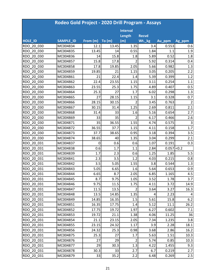|                | Rodeo Gold Project - 2020 Drill Program - Assays |          |       |                 |              |             |                |  |  |  |
|----------------|--------------------------------------------------|----------|-------|-----------------|--------------|-------------|----------------|--|--|--|
|                |                                                  |          |       | <b>Interval</b> |              |             |                |  |  |  |
|                |                                                  |          |       | Length          | <b>Recvd</b> |             |                |  |  |  |
| <b>HOLE_ID</b> | <b>SAMPLE ID</b>                                 | From (m) | To(m) | (m)             | Wt._kg       | Au_ppm      | Ag_ppm         |  |  |  |
| RDO 20 030     | MC004834                                         | 12.1     | 13.45 | 1.35            | 3.4          | 0.553       | 0.6            |  |  |  |
| RDO 20 030     | MC004835                                         | 13.45    | 14    | 0.55            | 1.84         | 1.1         | 1.9            |  |  |  |
| RDO 20 030     | MC004836                                         | 14       | 15.8  | 1.8             | 5.89         | 0.52        | 1.8            |  |  |  |
| RDO 20 030     | MC004857                                         | 15.8     | 17.8  | 2               | 5.92         | 0.314       | 0.4            |  |  |  |
| RDO 20 030     | MC004858                                         | 17.8     | 19.85 | 2.05            | 5.66         | 0.982       | 1.3            |  |  |  |
| RDO 20 030     | MC004859                                         | 19.85    | 21    | 1.15            | 3.05         | 0.205       | 2.2            |  |  |  |
| RDO 20 030     | MC004861                                         | 21       | 22.4  | 1.4             | 5.39         | 0.399       | 1.2            |  |  |  |
| RDO 20 030     | MC004862                                         | 22.4     | 23.55 | 1.15            | 3.11         | 0.254       | 1.1            |  |  |  |
| RDO 20 030     | MC004863                                         | 23.55    | 25.3  | 1.75            | 4.89         | 0.407       | 0.5            |  |  |  |
| RDO 20 030     | MC004864                                         | 25.3     | 27    | 1.7             | 6.02         | 0.298       | 1.3            |  |  |  |
| RDO 20 030     | MC004865                                         | 27       | 28.15 | 1.15            | 3.1          | 0.328       | 0.7            |  |  |  |
| RDO 20 030     | MC004866                                         | 28.15    | 30.15 | 2               | 3.45         | 0.763       | $\overline{2}$ |  |  |  |
| RDO 20 030     | MC004867                                         | 30.15    | 31.4  | 1.25            | 2.69         | 0.811       | 2.1            |  |  |  |
| RDO 20 030     | MC004868                                         | 31.4     | 33    | 1.6             | 5.16         | 0.654       | 2.7            |  |  |  |
| RDO 20 030     | MC004869                                         | 33       | 35    | $\overline{2}$  | 6.17         | 0.466       | 2.6            |  |  |  |
| RDO 20 030     | MC004871                                         | 35       | 36.55 | 1.55            | 4.74         | 0.575       | 3              |  |  |  |
| RDO 20 030     | MC004872                                         | 36.55    | 37.7  | 1.15            | 4.11         | 0.158       | 1.7            |  |  |  |
| RDO 20 030     | MC004873                                         | 37.7     | 38.65 | 0.95            | 3.18         | 0.394       | 3.5            |  |  |  |
| RDO 20 030     | MC004874                                         | 38.65    | 40    | 1.35            | 3.04         | 0.299       | 2.1            |  |  |  |
| RDO 20 031     | MC004837                                         | 0        | 0.6   | 0.6             | 1.07         | 0.191       | 0.3            |  |  |  |
| RDO 20 031     | MC004838                                         | 0.6      | 1.7   | 1.1             | 2.84         | 0.057 < 0.2 |                |  |  |  |
| RDO 20 031     | MC004839                                         | 1.7      | 2.3   | 0.6             | 1.25         | 1.85        | 5.5            |  |  |  |
| RDO 20 031     | MC004841                                         | 2.3      | 3.5   | 1.2             | 4.03         | 0.215       | 0.8            |  |  |  |
| RDO 20 031     | MC004842                                         | 3.5      | 5.05  | 1.55            | 3.8          | 0.544       | 1.3            |  |  |  |
| RDO 20 031     | MC004843                                         | 5.05     | 6.65  | 1.6             | 5.64         | 0.653       | 0.9            |  |  |  |
| RDO 20 031     | MC004844                                         | 6.65     | 8.7   | 2.05            | 6.85         | 1.165       | 4.5            |  |  |  |
| RDO 20 031     | MC004845                                         | 8.7      | 9.75  | 1.05            | 3.52         | 1.78        | 3.7            |  |  |  |
| RDO 20 031     | MC004846                                         | 9.75     | 11.5  | 1.75            | 4.11         | 3.72        | 14.9           |  |  |  |
| RDO 20 031     | MC004847                                         | 11.5     | 13.5  | $\overline{2}$  | 3.64         | 3.27        | 16.3           |  |  |  |
| RDO 20 031     | MC004848                                         | 13.5     | 14.85 | 1.35            | 4            | 2.23        | 4              |  |  |  |
| RDO 20 031     | MC004849                                         | 14.85    | 16.35 | 1.5             | 5.61         | 15.8        | 6.2            |  |  |  |
| RDO 20 031     | MC004851                                         | 16.35    | 17.75 | 1.4             | 5.12         | 11.1        | 26.2           |  |  |  |
| RDO 20 031     | MC004852                                         | 17.75    | 19.72 | 1.97            | 6.27         | 0.602       | 7.1            |  |  |  |
| RDO 20 031     | MC004853                                         | 19.72    | 21.1  | 1.38            | 4.06         | 11.25       | 36             |  |  |  |
| RDO 20 031     | MC004854                                         | 21.1     | 23.15 | 2.05            | 7.34         | 1.235       | 3.8            |  |  |  |
| RDO 20 031     | MC004855                                         | 23.15    | 24.32 | 1.17            | 3.9          | 2.28        | 18.1           |  |  |  |
| RDO 20 031     | MC004856                                         | 24.32    | 25.3  | 0.98            | 3.68         | 2.86        | 16.2           |  |  |  |
| RDO 20 031     | MC004875                                         | 25.3     | 27    | 1.7             | 5.63         | 1.51        | 10.3           |  |  |  |
| RDO 20 031     | MC004876                                         | 27       | 29    | $\overline{2}$  | 5.74         | 0.85        | 10.3           |  |  |  |
| RDO 20 031     | MC004877                                         | 29       | 30.3  | 1.3             | 4.22         | 1.455       | 9.3            |  |  |  |
| RDO 20 031     | MC004878                                         | 30.3     | 33    | 2.7             | 6.7          | 0.219       | 2.7            |  |  |  |
| RDO 20 031     | MC004879                                         | 33       | 35.2  | 2.2             | 6.48         | 0.269       | 2.5            |  |  |  |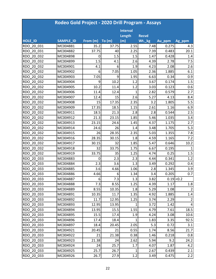|            | Rodeo Gold Project - 2020 Drill Program - Assays |          |        |                 |              |        |                |  |  |  |
|------------|--------------------------------------------------|----------|--------|-----------------|--------------|--------|----------------|--|--|--|
|            |                                                  |          |        | <b>Interval</b> |              |        |                |  |  |  |
|            |                                                  |          |        | Length          | <b>Recvd</b> |        |                |  |  |  |
| HOLE_ID    | SAMPLE_ID                                        | From (m) | To (m) | (m)             | Wt._kg       | Au_ppm | Ag_ppm         |  |  |  |
| RDO 20 031 | MC004881                                         | 35.2     | 37.75  | 2.55            | 7.48         | 0.275  | 4.3            |  |  |  |
| RDO 20 031 | MC004882                                         | 37.75    | 40     | 2.25            | 7.39         | 0.483  | 20.1           |  |  |  |
| RDO 20 032 | MC004898                                         | 0        | 1.5    | 1.5             | 1.47         | 0.428  | 1.4            |  |  |  |
| RDO 20 032 | MC004899                                         | 1.5      | 4.1    | 2.6             | 4.39         | 2.78   | 7.5            |  |  |  |
| RDO 20 032 | MC004901                                         | 4.1      | 6      | 1.9             | 4.23         | 2.08   | 2.6            |  |  |  |
| RDO 20 032 | MC004902                                         | 6        | 7.05   | 1.05            | 2.36         | 1.885  | 6.1            |  |  |  |
| RDO 20 032 | MC004903                                         | 7.05     | 9      | 1.95            | 6.63         | 0.34   | 0.9            |  |  |  |
| RDO 20 032 | MC004904                                         | 9        | 10.2   | 1.2             | 3.67         | 0.174  | 1.5            |  |  |  |
| RDO 20 032 | MC004905                                         | 10.2     | 11.4   | 1.2             | 3.03         | 0.123  | 0.6            |  |  |  |
| RDO 20 032 | MC004906                                         | 11.4     | 12.4   | $\mathbf{1}$    | 2.82         | 0.579  | 2.7            |  |  |  |
| RDO 20 032 | MC004907                                         | 12.4     | 15     | 2.6             | 5.27         | 4.13   | 8.4            |  |  |  |
| RDO 20 032 | MC004908                                         | 15       | 17.35  | 2.35            | 3.2          | 1.805  | 5.5            |  |  |  |
| RDO 20 032 | MC004909                                         | 17.35    | 18.5   | 1.15            | 2.61         | 1.16   | 6.9            |  |  |  |
| RDO 20 032 | MC004911                                         | 18.5     | 21.3   | 2.8             | 2.8          | 0.544  | 2.5            |  |  |  |
| RDO 20 032 | MC004912                                         | 21.3     | 23.15  | 1.85            | 5.46         | 1.035  | 3.4            |  |  |  |
| RDO 20 032 | MC004913                                         | 23.15    | 24.6   | 1.45            | 4.37         | 1.175  | 2.7            |  |  |  |
| RDO 20 032 | MC004914                                         | 24.6     | 26     | 1.4             | 3.48         | 1.705  | 5.3            |  |  |  |
| RDO 20 032 | MC004915                                         | 26       | 28.35  | 2.35            | 5.03         | 1.355  | 7.8            |  |  |  |
| RDO 20 032 | MC004916                                         | 28.35    | 30.15  | 1.8             | 4.59         | 1.165  | 7.2            |  |  |  |
| RDO 20 032 | MC004917                                         | 30.15    | 32     | 1.85            | 5.47         | 0.646  | 10.2           |  |  |  |
| RDO 20 032 | MC004918                                         | 32       | 33.75  | 1.75            | 6.67         | 0.195  | 1              |  |  |  |
| RDO 20 032 | MC004919                                         | 33.75    | 35     | 1.25            | 4.74         | 0.25   | 1.5            |  |  |  |
| RDO 20 033 | MC004883                                         | 0        | 2.3    | 2.3             | 4.44         | 0.341  | 1.2            |  |  |  |
| RDO 20 033 | MC004884                                         | 2.3      | 3.6    | 1.3             | 3.49         | 0.292  | 0.4            |  |  |  |
| RDO 20 033 | MC004885                                         | 3.6      | 4.66   | 1.06            | 2.8          | 1.345  | 3.9            |  |  |  |
| RDO 20 033 | MC004886                                         | 4.66     | 6      | 1.34            | 3.4          | 0.205  | 0.7            |  |  |  |
| RDO 20 033 | MC004887                                         | $6 \mid$ | 7.3    | 1.3             | 3.82         |        | $0.19$ < 0.2   |  |  |  |
| RDO 20 033 | MC004888                                         | 7.3      | 8.55   | 1.25            | 4.39         | 1.17   | 1.8            |  |  |  |
| RDO 20 033 | MC004889                                         | 8.55     | 10.35  | 1.8             | 5.29         | 1.08   |                |  |  |  |
| RDO 20 033 | MC004891                                         | 10.35    | 11.7   | 1.35            | 4.92         | 1.885  | 1.4            |  |  |  |
| RDO 20 033 | MC004892                                         | 11.7     | 12.95  | 1.25            | 3.74         | 2.29   | $\overline{2}$ |  |  |  |
| RDO 20 033 | MC004893                                         | 12.95    | 13.95  | 1               | 3.72         | 1.42   | 4              |  |  |  |
| RDO 20 033 | MC004894                                         | 13.95    | 15.5   | 1.55            | 4.79         | 7.61   | 18.5           |  |  |  |
| RDO 20 033 | MC004895                                         | 15.5     | 17.4   | 1.9             | 4.24         | 3.08   | 10.6           |  |  |  |
| RDO 20 033 | MC004896                                         | 17.4     | 18.4   | 1               | 1.83         | 3.35   | 92.5           |  |  |  |
| RDO 20 033 | MC004897                                         | 18.4     | 20.45  | 2.05            | 5.3          | 0.72   | 3.1            |  |  |  |
| RDO 20 033 | MC004921                                         | 20.45    | 21     | 0.55            | 1.74         | 8.56   | 21.7           |  |  |  |
| RDO 20 033 | MC004922                                         | 21       | 21.38  | 0.38            | 1.46         | 0.218  | 0.8            |  |  |  |
| RDO 20 033 | MC004923                                         | 21.38    | 24     | 2.62            | 5.94         | 9.2    | 24.2           |  |  |  |
| RDO 20 033 | MC004924                                         | 24       | 25.7   | 1.7             | 4.07         | 1.87   | 4.2            |  |  |  |
| RDO 20 033 | MC004925                                         | 25.7     | 26.7   | $\mathbf{1}$    | 2.67         | 0.439  | 2.1            |  |  |  |
| RDO_20_033 | MC004926                                         | 26.7     | 27.9   | 1.2             | 3.49         | 0.475  | 2.2            |  |  |  |